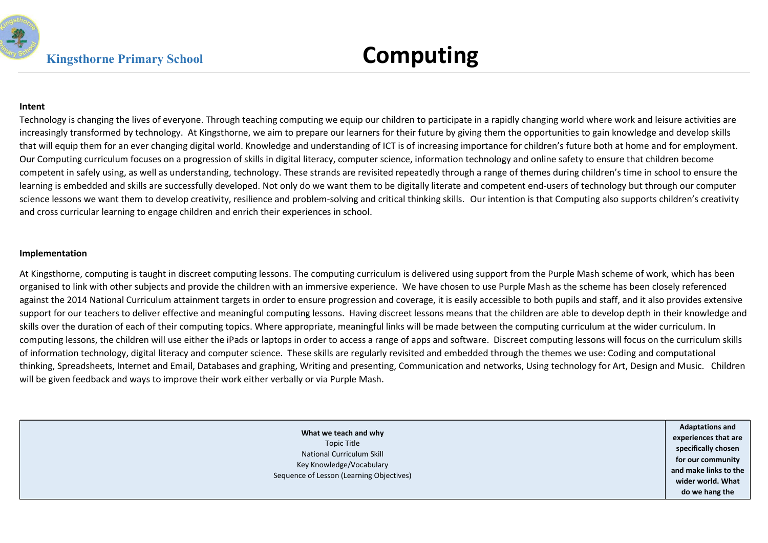

#### Intent

Technology is changing the lives of everyone. Through teaching computing we equip our children to participate in a rapidly changing world where work and leisure activities are increasingly transformed by technology. At Kingsthorne, we aim to prepare our learners for their future by giving them the opportunities to gain knowledge and develop skills that will equip them for an ever changing digital world. Knowledge and understanding of ICT is of increasing importance for children's future both at home and for employment. Our Computing curriculum focuses on a progression of skills in digital literacy, computer science, information technology and online safety to ensure that children become competent in safely using, as well as understanding, technology. These strands are revisited repeatedly through a range of themes during children's time in school to ensure the learning is embedded and skills are successfully developed. Not only do we want them to be digitally literate and competent end-users of technology but through our computer science lessons we want them to develop creativity, resilience and problem-solving and critical thinking skills. Our intention is that Computing also supports children's creativity and cross curricular learning to engage children and enrich their experiences in school.

#### Implementation

At Kingsthorne, computing is taught in discreet computing lessons. The computing curriculum is delivered using support from the Purple Mash scheme of work, which has been organised to link with other subjects and provide the children with an immersive experience. We have chosen to use Purple Mash as the scheme has been closely referenced against the 2014 National Curriculum attainment targets in order to ensure progression and coverage, it is easily accessible to both pupils and staff, and it also provides extensive support for our teachers to deliver effective and meaningful computing lessons. Having discreet lessons means that the children are able to develop depth in their knowledge and skills over the duration of each of their computing topics. Where appropriate, meaningful links will be made between the computing curriculum at the wider curriculum. In computing lessons, the children will use either the iPads or laptops in order to access a range of apps and software. Discreet computing lessons will focus on the curriculum skills of information technology, digital literacy and computer science. These skills are regularly revisited and embedded through the themes we use: Coding and computational thinking, Spreadsheets, Internet and Email, Databases and graphing, Writing and presenting, Communication and networks, Using technology for Art, Design and Music. Children will be given feedback and ways to improve their work either verbally or via Purple Mash.

> What we teach and why Topic Title National Curriculum Skill Key Knowledge/Vocabulary Sequence of Lesson (Learning Objectives) Adaptations and experiences that are specifically chosen for our community and make links to the wider world. What do we hang the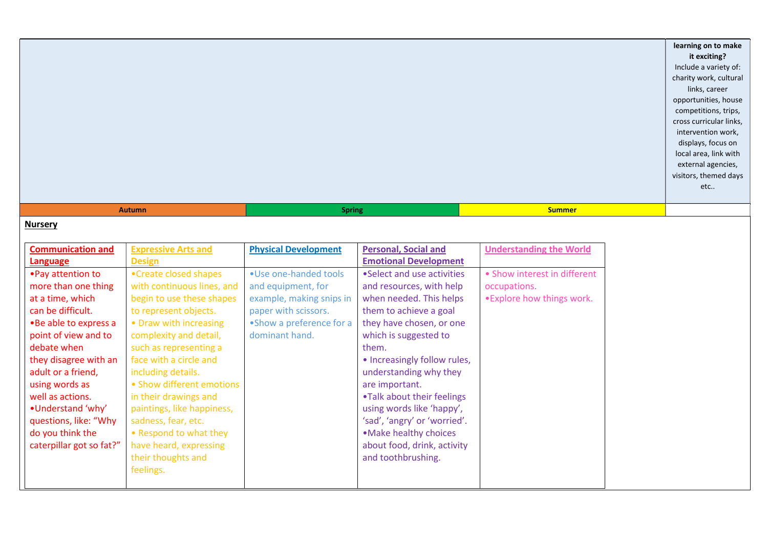|                                             |                                              |                             |                                                        |                                | learning on to make<br>it exciting?<br>Include a variety of:<br>charity work, cultural<br>links, career<br>opportunities, house<br>competitions, trips,<br>cross curricular links,<br>intervention work,<br>displays, focus on<br>local area, link with<br>external agencies,<br>visitors, themed days<br>etc |
|---------------------------------------------|----------------------------------------------|-----------------------------|--------------------------------------------------------|--------------------------------|---------------------------------------------------------------------------------------------------------------------------------------------------------------------------------------------------------------------------------------------------------------------------------------------------------------|
|                                             | <b>Autumn</b>                                | <b>Spring</b>               |                                                        | <b>Summer</b>                  |                                                                                                                                                                                                                                                                                                               |
| <b>Nursery</b>                              |                                              |                             |                                                        |                                |                                                                                                                                                                                                                                                                                                               |
| <b>Communication and</b>                    | <b>Expressive Arts and</b>                   | <b>Physical Development</b> | <b>Personal, Social and</b>                            | <b>Understanding the World</b> |                                                                                                                                                                                                                                                                                                               |
| Language                                    | <b>Design</b>                                |                             | <b>Emotional Development</b>                           |                                |                                                                                                                                                                                                                                                                                                               |
| • Pay attention to                          | •Create closed shapes                        | . Use one-handed tools      | •Select and use activities                             | • Show interest in different   |                                                                                                                                                                                                                                                                                                               |
| more than one thing                         | with continuous lines, and                   | and equipment, for          | and resources, with help                               | occupations.                   |                                                                                                                                                                                                                                                                                                               |
| at a time, which                            | begin to use these shapes                    | example, making snips in    | when needed. This helps                                | . Explore how things work.     |                                                                                                                                                                                                                                                                                                               |
| can be difficult.                           | to represent objects.                        | paper with scissors.        | them to achieve a goal                                 |                                |                                                                                                                                                                                                                                                                                                               |
| . Be able to express a                      | • Draw with increasing                       | •Show a preference for a    | they have chosen, or one                               |                                |                                                                                                                                                                                                                                                                                                               |
| point of view and to                        | complexity and detail,                       | dominant hand.              | which is suggested to                                  |                                |                                                                                                                                                                                                                                                                                                               |
| debate when                                 | such as representing a                       |                             | them.                                                  |                                |                                                                                                                                                                                                                                                                                                               |
| they disagree with an<br>adult or a friend, | face with a circle and<br>including details. |                             | • Increasingly follow rules,<br>understanding why they |                                |                                                                                                                                                                                                                                                                                                               |
| using words as                              | • Show different emotions                    |                             | are important.                                         |                                |                                                                                                                                                                                                                                                                                                               |
| well as actions.                            | in their drawings and                        |                             | .Talk about their feelings                             |                                |                                                                                                                                                                                                                                                                                                               |
| . Understand 'why'                          | paintings, like happiness,                   |                             | using words like 'happy',                              |                                |                                                                                                                                                                                                                                                                                                               |
| questions, like: "Why                       | sadness, fear, etc.                          |                             | 'sad', 'angry' or 'worried'.                           |                                |                                                                                                                                                                                                                                                                                                               |
| do you think the                            | • Respond to what they                       |                             | . Make healthy choices                                 |                                |                                                                                                                                                                                                                                                                                                               |
| caterpillar got so fat?"                    | have heard, expressing                       |                             | about food, drink, activity                            |                                |                                                                                                                                                                                                                                                                                                               |
|                                             | their thoughts and                           |                             | and toothbrushing.                                     |                                |                                                                                                                                                                                                                                                                                                               |
|                                             | feelings.                                    |                             |                                                        |                                |                                                                                                                                                                                                                                                                                                               |
|                                             |                                              |                             |                                                        |                                |                                                                                                                                                                                                                                                                                                               |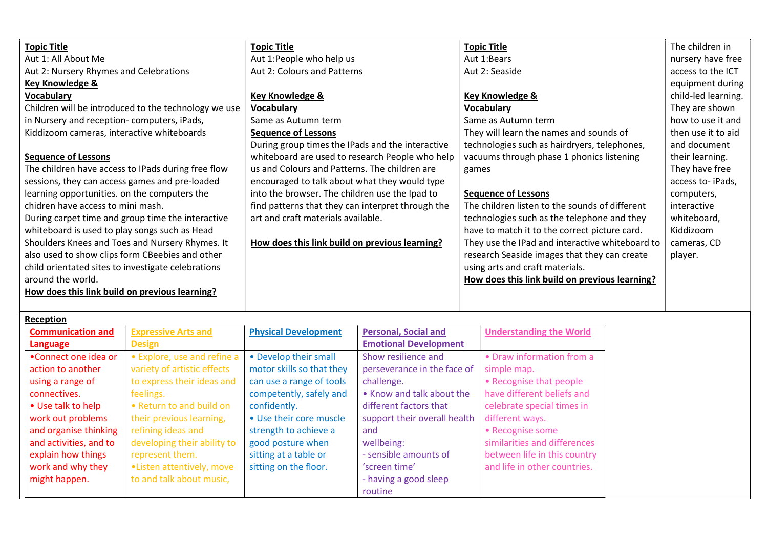| <b>Topic Title</b>                                   | <b>Topic Title</b>                                | <b>Topic Title</b>                              | The children in     |
|------------------------------------------------------|---------------------------------------------------|-------------------------------------------------|---------------------|
| Aut 1: All About Me                                  | Aut 1:People who help us                          | Aut 1:Bears                                     | nursery have free   |
| Aut 2: Nursery Rhymes and Celebrations               | Aut 2: Colours and Patterns                       | Aut 2: Seaside                                  | access to the ICT   |
| Key Knowledge &                                      |                                                   |                                                 | equipment during    |
| <b>Vocabulary</b>                                    | <b>Key Knowledge &amp;</b>                        | <b>Key Knowledge &amp;</b>                      | child-led learning. |
| Children will be introduced to the technology we use | <b>Vocabulary</b>                                 | <b>Vocabulary</b>                               | They are shown      |
| in Nursery and reception-computers, iPads,           | Same as Autumn term                               | Same as Autumn term                             | how to use it and   |
| Kiddizoom cameras, interactive whiteboards           | <b>Sequence of Lessons</b>                        | They will learn the names and sounds of         | then use it to aid  |
|                                                      | During group times the IPads and the interactive  | technologies such as hairdryers, telephones,    | and document        |
| <b>Sequence of Lessons</b>                           | whiteboard are used to research People who help   | vacuums through phase 1 phonics listening       | their learning.     |
| The children have access to IPads during free flow   | us and Colours and Patterns. The children are     | games                                           | They have free      |
| sessions, they can access games and pre-loaded       | encouraged to talk about what they would type     |                                                 | access to-iPads,    |
| learning opportunities. on the computers the         | into the browser. The children use the Ipad to    | <b>Sequence of Lessons</b>                      | computers,          |
| chidren have access to mini mash.                    | find patterns that they can interpret through the | The children listen to the sounds of different  | interactive         |
| During carpet time and group time the interactive    | art and craft materials available.                | technologies such as the telephone and they     | whiteboard,         |
| whiteboard is used to play songs such as Head        |                                                   | have to match it to the correct picture card.   | Kiddizoom           |
| Shoulders Knees and Toes and Nursery Rhymes. It      | How does this link build on previous learning?    | They use the IPad and interactive whiteboard to | cameras, CD         |
| also used to show clips form CBeebies and other      |                                                   | research Seaside images that they can create    | player.             |
| child orientated sites to investigate celebrations   |                                                   | using arts and craft materials.                 |                     |
| around the world.                                    |                                                   | How does this link build on previous learning?  |                     |
| How does this link build on previous learning?       |                                                   |                                                 |                     |
|                                                      |                                                   |                                                 |                     |

| Reception                |                             |                             |                              |                                |
|--------------------------|-----------------------------|-----------------------------|------------------------------|--------------------------------|
| <b>Communication and</b> | <b>Expressive Arts and</b>  | <b>Physical Development</b> | <b>Personal, Social and</b>  | <b>Understanding the World</b> |
| <b>Language</b>          | <b>Design</b>               |                             | <b>Emotional Development</b> |                                |
| •Connect one idea or     | • Explore, use and refine a | • Develop their small       | Show resilience and          | • Draw information from a      |
| action to another        | variety of artistic effects | motor skills so that they   | perseverance in the face of  | simple map.                    |
| using a range of         | to express their ideas and  | can use a range of tools    | challenge.                   | • Recognise that people        |
| connectives.             | feelings.                   | competently, safely and     | • Know and talk about the    | have different beliefs and     |
| • Use talk to help       | • Return to and build on    | confidently.                | different factors that       | celebrate special times in     |
| work out problems        | their previous learning,    | • Use their core muscle     | support their overall health | different ways.                |
| and organise thinking    | refining ideas and          | strength to achieve a       | and                          | • Recognise some               |
| and activities, and to   | developing their ability to | good posture when           | wellbeing:                   | similarities and differences   |
| explain how things       | represent them.             | sitting at a table or       | - sensible amounts of        | between life in this country   |
| work and why they        | .Listen attentively, move   | sitting on the floor.       | 'screen time'                | and life in other countries.   |
| might happen.            | to and talk about music,    |                             | - having a good sleep        |                                |
|                          |                             |                             | routine                      |                                |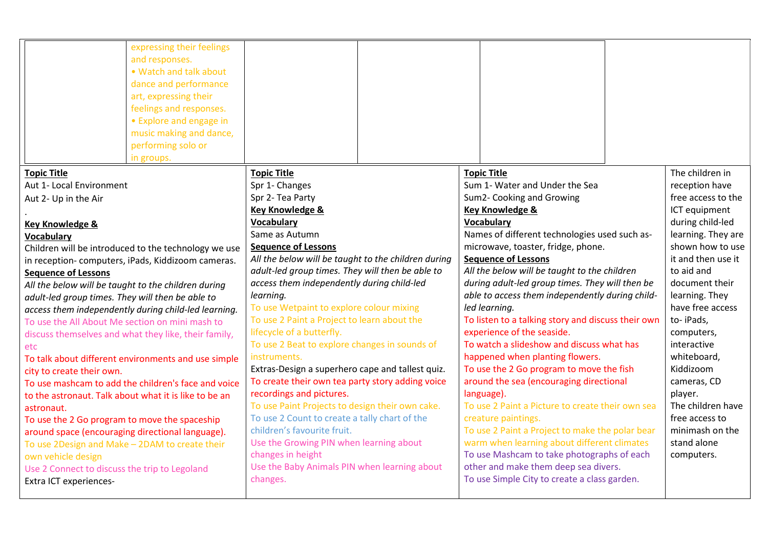|                                                       | expressing their feelings<br>and responses.<br>• Watch and talk about<br>dance and performance<br>art, expressing their<br>feelings and responses.<br>• Explore and engage in<br>music making and dance,<br>performing solo or<br>in groups. |                                                                                   |  |                                                                            |                                                    |                                  |                    |
|-------------------------------------------------------|----------------------------------------------------------------------------------------------------------------------------------------------------------------------------------------------------------------------------------------------|-----------------------------------------------------------------------------------|--|----------------------------------------------------------------------------|----------------------------------------------------|----------------------------------|--------------------|
| <b>Topic Title</b>                                    |                                                                                                                                                                                                                                              | <b>Topic Title</b>                                                                |  | <b>Topic Title</b>                                                         |                                                    |                                  | The children in    |
| Aut 1- Local Environment                              |                                                                                                                                                                                                                                              | Spr 1- Changes                                                                    |  |                                                                            | Sum 1- Water and Under the Sea                     |                                  | reception have     |
| Aut 2- Up in the Air                                  |                                                                                                                                                                                                                                              | Spr 2- Tea Party                                                                  |  |                                                                            | Sum2- Cooking and Growing                          |                                  | free access to the |
|                                                       |                                                                                                                                                                                                                                              | Key Knowledge &                                                                   |  |                                                                            | <b>Key Knowledge &amp;</b>                         |                                  | ICT equipment      |
| <b>Key Knowledge &amp;</b>                            |                                                                                                                                                                                                                                              | Vocabulary                                                                        |  | Vocabulary                                                                 |                                                    |                                  | during child-led   |
| <b>Vocabulary</b>                                     |                                                                                                                                                                                                                                              | Same as Autumn                                                                    |  | Names of different technologies used such as-                              |                                                    | learning. They are               |                    |
|                                                       | Children will be introduced to the technology we use                                                                                                                                                                                         | <b>Sequence of Lessons</b><br>All the below will be taught to the children during |  | microwave, toaster, fridge, phone.                                         |                                                    | shown how to use                 |                    |
|                                                       | in reception-computers, iPads, Kiddizoom cameras.                                                                                                                                                                                            | adult-led group times. They will then be able to                                  |  | <b>Sequence of Lessons</b><br>All the below will be taught to the children |                                                    | it and then use it<br>to aid and |                    |
| <b>Sequence of Lessons</b>                            |                                                                                                                                                                                                                                              | access them independently during child-led                                        |  | during adult-led group times. They will then be                            |                                                    | document their                   |                    |
| All the below will be taught to the children during   |                                                                                                                                                                                                                                              | learning.                                                                         |  |                                                                            | able to access them independently during child-    |                                  | learning. They     |
| adult-led group times. They will then be able to      |                                                                                                                                                                                                                                              | To use Wetpaint to explore colour mixing                                          |  | led learning.                                                              |                                                    |                                  | have free access   |
|                                                       | access them independently during child-led learning.                                                                                                                                                                                         | To use 2 Paint a Project to learn about the                                       |  |                                                                            | To listen to a talking story and discuss their own |                                  | to-iPads,          |
| To use the All About Me section on mini mash to       |                                                                                                                                                                                                                                              | lifecycle of a butterfly.                                                         |  |                                                                            | experience of the seaside.                         |                                  | computers,         |
| etc.                                                  | discuss themselves and what they like, their family,                                                                                                                                                                                         | To use 2 Beat to explore changes in sounds of                                     |  |                                                                            | To watch a slideshow and discuss what has          |                                  | interactive        |
|                                                       | To talk about different environments and use simple                                                                                                                                                                                          | instruments.                                                                      |  |                                                                            | happened when planting flowers.                    |                                  | whiteboard,        |
| city to create their own.                             |                                                                                                                                                                                                                                              | Extras-Design a superhero cape and tallest quiz.                                  |  |                                                                            | To use the 2 Go program to move the fish           |                                  | Kiddizoom          |
|                                                       | To use mashcam to add the children's face and voice                                                                                                                                                                                          | To create their own tea party story adding voice                                  |  |                                                                            | around the sea (encouraging directional            |                                  | cameras, CD        |
| to the astronaut. Talk about what it is like to be an |                                                                                                                                                                                                                                              | recordings and pictures.                                                          |  | language).                                                                 |                                                    |                                  | player.            |
| astronaut.                                            |                                                                                                                                                                                                                                              | To use Paint Projects to design their own cake.                                   |  |                                                                            | To use 2 Paint a Picture to create their own sea   |                                  | The children have  |
| To use the 2 Go program to move the spaceship         |                                                                                                                                                                                                                                              | To use 2 Count to create a tally chart of the                                     |  |                                                                            | creature paintings.                                |                                  | free access to     |
| around space (encouraging directional language).      |                                                                                                                                                                                                                                              | children's favourite fruit.                                                       |  |                                                                            | To use 2 Paint a Project to make the polar bear    |                                  | minimash on the    |
| To use 2Design and Make - 2DAM to create their        |                                                                                                                                                                                                                                              | Use the Growing PIN when learning about                                           |  |                                                                            | warm when learning about different climates        |                                  | stand alone        |
| own vehicle design                                    |                                                                                                                                                                                                                                              | changes in height                                                                 |  |                                                                            | To use Mashcam to take photographs of each         |                                  | computers.         |
| Use 2 Connect to discuss the trip to Legoland         |                                                                                                                                                                                                                                              | Use the Baby Animals PIN when learning about                                      |  |                                                                            | other and make them deep sea divers.               |                                  |                    |
| Extra ICT experiences-                                |                                                                                                                                                                                                                                              | changes.                                                                          |  |                                                                            | To use Simple City to create a class garden.       |                                  |                    |
|                                                       |                                                                                                                                                                                                                                              |                                                                                   |  |                                                                            |                                                    |                                  |                    |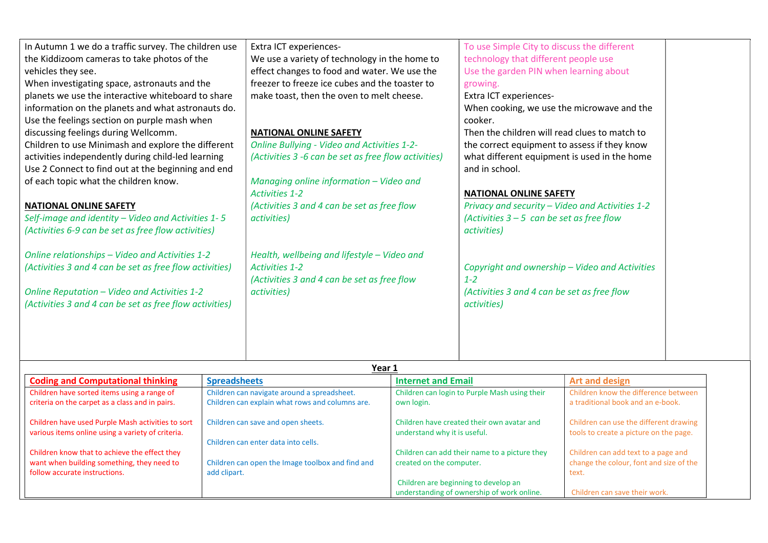| In Autumn 1 we do a traffic survey. The children use<br>the Kiddizoom cameras to take photos of the<br>vehicles they see.<br>When investigating space, astronauts and the<br>planets we use the interactive whiteboard to share<br>information on the planets and what astronauts do.<br>Use the feelings section on purple mash when<br>discussing feelings during Wellcomm.<br>Children to use Minimash and explore the different<br>activities independently during child-led learning<br>Use 2 Connect to find out at the beginning and end<br>of each topic what the children know.<br><b>NATIONAL ONLINE SAFETY</b><br>Self-image and identity - Video and Activities 1-5<br>(Activities 6-9 can be set as free flow activities)<br>Online relationships - Video and Activities 1-2<br>(Activities 3 and 4 can be set as free flow activities)<br>Online Reputation - Video and Activities 1-2<br>(Activities 3 and 4 can be set as free flow activities) |                     | Extra ICT experiences-<br>We use a variety of technology in the home to<br>effect changes to food and water. We use the<br>freezer to freeze ice cubes and the toaster to<br>make toast, then the oven to melt cheese.<br><b>NATIONAL ONLINE SAFETY</b><br><b>Online Bullying - Video and Activities 1-2-</b><br>(Activities 3 -6 can be set as free flow activities)<br>Managing online information - Video and<br><b>Activities 1-2</b><br>(Activities 3 and 4 can be set as free flow<br>activities)<br>Health, wellbeing and lifestyle - Video and<br><b>Activities 1-2</b><br>(Activities 3 and 4 can be set as free flow<br>activities) |                           | To use Simple City to discuss the different<br>technology that different people use<br>Use the garden PIN when learning about<br>growing.<br>Extra ICT experiences-<br>When cooking, we use the microwave and the<br>cooker.<br>Then the children will read clues to match to<br>the correct equipment to assess if they know<br>what different equipment is used in the home<br>and in school.<br><b>NATIONAL ONLINE SAFETY</b><br>Privacy and security - Video and Activities 1-2<br>(Activities $3 - 5$ can be set as free flow<br>activities)<br>$1 - 2$<br>(Activities 3 and 4 can be set as free flow<br>activities) | Copyright and ownership - Video and Activities                            |  |
|-----------------------------------------------------------------------------------------------------------------------------------------------------------------------------------------------------------------------------------------------------------------------------------------------------------------------------------------------------------------------------------------------------------------------------------------------------------------------------------------------------------------------------------------------------------------------------------------------------------------------------------------------------------------------------------------------------------------------------------------------------------------------------------------------------------------------------------------------------------------------------------------------------------------------------------------------------------------|---------------------|-----------------------------------------------------------------------------------------------------------------------------------------------------------------------------------------------------------------------------------------------------------------------------------------------------------------------------------------------------------------------------------------------------------------------------------------------------------------------------------------------------------------------------------------------------------------------------------------------------------------------------------------------|---------------------------|----------------------------------------------------------------------------------------------------------------------------------------------------------------------------------------------------------------------------------------------------------------------------------------------------------------------------------------------------------------------------------------------------------------------------------------------------------------------------------------------------------------------------------------------------------------------------------------------------------------------------|---------------------------------------------------------------------------|--|
|                                                                                                                                                                                                                                                                                                                                                                                                                                                                                                                                                                                                                                                                                                                                                                                                                                                                                                                                                                 |                     |                                                                                                                                                                                                                                                                                                                                                                                                                                                                                                                                                                                                                                               | Year 1                    |                                                                                                                                                                                                                                                                                                                                                                                                                                                                                                                                                                                                                            |                                                                           |  |
| <b>Coding and Computational thinking</b>                                                                                                                                                                                                                                                                                                                                                                                                                                                                                                                                                                                                                                                                                                                                                                                                                                                                                                                        | <b>Spreadsheets</b> |                                                                                                                                                                                                                                                                                                                                                                                                                                                                                                                                                                                                                                               | <b>Internet and Email</b> |                                                                                                                                                                                                                                                                                                                                                                                                                                                                                                                                                                                                                            | <b>Art and design</b>                                                     |  |
| Children have sorted items using a range of<br>criteria on the carpet as a class and in pairs.                                                                                                                                                                                                                                                                                                                                                                                                                                                                                                                                                                                                                                                                                                                                                                                                                                                                  |                     | Children can navigate around a spreadsheet.<br>Children can explain what rows and columns are.                                                                                                                                                                                                                                                                                                                                                                                                                                                                                                                                                | own login.                | Children can login to Purple Mash using their                                                                                                                                                                                                                                                                                                                                                                                                                                                                                                                                                                              | Children know the difference between<br>a traditional book and an e-book. |  |
| Children have used Purple Mash activities to sort<br>various items online using a variety of criteria.<br>Children know that to achieve the effect they<br>want when building something, they need to<br>follow accurate instructions.<br>add clipart.                                                                                                                                                                                                                                                                                                                                                                                                                                                                                                                                                                                                                                                                                                          |                     | Children can save and open sheets.<br>understand why it is useful.<br>Children can enter data into cells.<br>Children can open the Image toolbox and find and<br>created on the computer.                                                                                                                                                                                                                                                                                                                                                                                                                                                     |                           | Children have created their own avatar and<br>Children can use the different drawing<br>tools to create a picture on the page.<br>Children can add their name to a picture they<br>Children can add text to a page and<br>change the colour, font and size of the<br>text.                                                                                                                                                                                                                                                                                                                                                 |                                                                           |  |
|                                                                                                                                                                                                                                                                                                                                                                                                                                                                                                                                                                                                                                                                                                                                                                                                                                                                                                                                                                 |                     |                                                                                                                                                                                                                                                                                                                                                                                                                                                                                                                                                                                                                                               |                           | Children are beginning to develop an                                                                                                                                                                                                                                                                                                                                                                                                                                                                                                                                                                                       |                                                                           |  |

understanding of ownership of work online.

Children can save their work.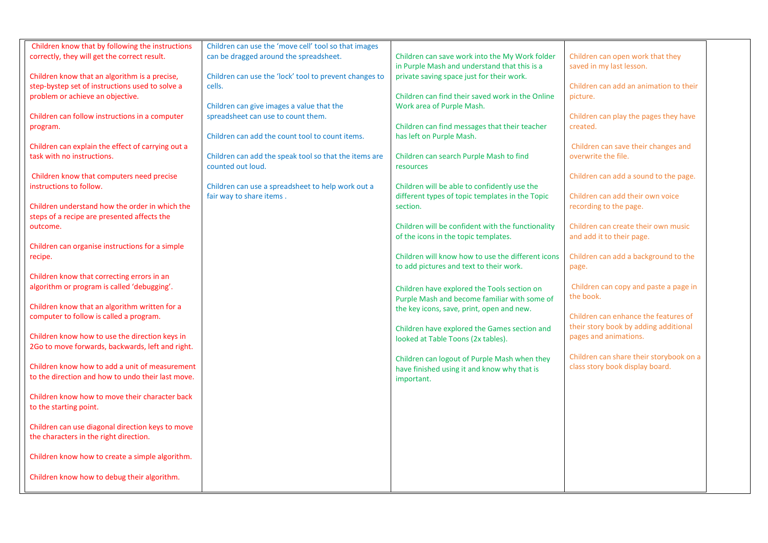| Children know that by following the instructions  | Children can use the 'move cell' tool so that images   |                                                   |                                         |  |
|---------------------------------------------------|--------------------------------------------------------|---------------------------------------------------|-----------------------------------------|--|
| correctly, they will get the correct result.      | can be dragged around the spreadsheet.                 | Children can save work into the My Work folder    | Children can open work that they        |  |
|                                                   |                                                        | in Purple Mash and understand that this is a      | saved in my last lesson.                |  |
| Children know that an algorithm is a precise,     | Children can use the 'lock' tool to prevent changes to | private saving space just for their work.         |                                         |  |
| step-bystep set of instructions used to solve a   | cells.                                                 |                                                   | Children can add an animation to their  |  |
|                                                   |                                                        |                                                   |                                         |  |
| problem or achieve an objective.                  |                                                        | Children can find their saved work in the Online  | picture.                                |  |
|                                                   | Children can give images a value that the              | Work area of Purple Mash.                         |                                         |  |
| Children can follow instructions in a computer    | spreadsheet can use to count them.                     |                                                   | Children can play the pages they have   |  |
| program.                                          |                                                        | Children can find messages that their teacher     | created.                                |  |
|                                                   | Children can add the count tool to count items.        | has left on Purple Mash.                          |                                         |  |
| Children can explain the effect of carrying out a |                                                        |                                                   | Children can save their changes and     |  |
|                                                   |                                                        |                                                   |                                         |  |
| task with no instructions.                        | Children can add the speak tool so that the items are  | Children can search Purple Mash to find           | overwrite the file.                     |  |
|                                                   | counted out loud.                                      | resources                                         |                                         |  |
| Children know that computers need precise         |                                                        |                                                   | Children can add a sound to the page.   |  |
| instructions to follow.                           | Children can use a spreadsheet to help work out a      | Children will be able to confidently use the      |                                         |  |
|                                                   | fair way to share items.                               | different types of topic templates in the Topic   | Children can add their own voice        |  |
| Children understand how the order in which the    |                                                        | section.                                          | recording to the page.                  |  |
|                                                   |                                                        |                                                   |                                         |  |
| steps of a recipe are presented affects the       |                                                        |                                                   |                                         |  |
| outcome.                                          |                                                        | Children will be confident with the functionality | Children can create their own music     |  |
|                                                   |                                                        | of the icons in the topic templates.              | and add it to their page.               |  |
| Children can organise instructions for a simple   |                                                        |                                                   |                                         |  |
| recipe.                                           |                                                        | Children will know how to use the different icons | Children can add a background to the    |  |
|                                                   |                                                        | to add pictures and text to their work.           | page.                                   |  |
| Children know that correcting errors in an        |                                                        |                                                   |                                         |  |
|                                                   |                                                        |                                                   |                                         |  |
| algorithm or program is called 'debugging'.       |                                                        | Children have explored the Tools section on       | Children can copy and paste a page in   |  |
|                                                   |                                                        | Purple Mash and become familiar with some of      | the book.                               |  |
| Children know that an algorithm written for a     |                                                        | the key icons, save, print, open and new.         |                                         |  |
| computer to follow is called a program.           |                                                        |                                                   | Children can enhance the features of    |  |
|                                                   |                                                        | Children have explored the Games section and      | their story book by adding additional   |  |
| Children know how to use the direction keys in    |                                                        |                                                   | pages and animations.                   |  |
|                                                   |                                                        | looked at Table Toons (2x tables).                |                                         |  |
| 2Go to move forwards, backwards, left and right.  |                                                        |                                                   |                                         |  |
|                                                   |                                                        | Children can logout of Purple Mash when they      | Children can share their storybook on a |  |
| Children know how to add a unit of measurement    |                                                        | have finished using it and know why that is       | class story book display board.         |  |
| to the direction and how to undo their last move. |                                                        | important.                                        |                                         |  |
|                                                   |                                                        |                                                   |                                         |  |
| Children know how to move their character back    |                                                        |                                                   |                                         |  |
| to the starting point.                            |                                                        |                                                   |                                         |  |
|                                                   |                                                        |                                                   |                                         |  |
|                                                   |                                                        |                                                   |                                         |  |
| Children can use diagonal direction keys to move  |                                                        |                                                   |                                         |  |
| the characters in the right direction.            |                                                        |                                                   |                                         |  |
|                                                   |                                                        |                                                   |                                         |  |
| Children know how to create a simple algorithm.   |                                                        |                                                   |                                         |  |
|                                                   |                                                        |                                                   |                                         |  |
| Children know how to debug their algorithm.       |                                                        |                                                   |                                         |  |
|                                                   |                                                        |                                                   |                                         |  |
|                                                   |                                                        |                                                   |                                         |  |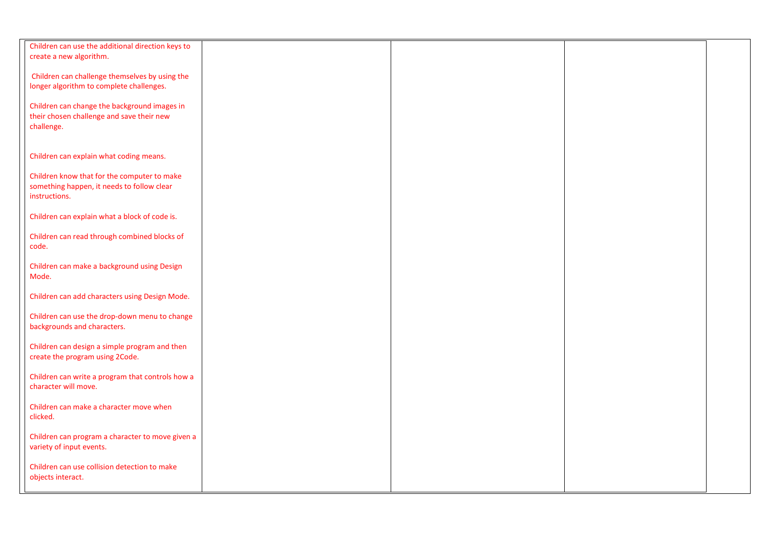| Children can use the additional direction keys to<br>create a new algorithm.                               |  |  |
|------------------------------------------------------------------------------------------------------------|--|--|
| Children can challenge themselves by using the<br>longer algorithm to complete challenges.                 |  |  |
| Children can change the background images in<br>their chosen challenge and save their new<br>challenge.    |  |  |
| Children can explain what coding means.                                                                    |  |  |
| Children know that for the computer to make<br>something happen, it needs to follow clear<br>instructions. |  |  |
| Children can explain what a block of code is.                                                              |  |  |
| Children can read through combined blocks of<br>code.                                                      |  |  |
| Children can make a background using Design<br>Mode.                                                       |  |  |
| Children can add characters using Design Mode.                                                             |  |  |
| Children can use the drop-down menu to change<br>backgrounds and characters.                               |  |  |
| Children can design a simple program and then<br>create the program using 2Code.                           |  |  |
| Children can write a program that controls how a<br>character will move.                                   |  |  |
| Children can make a character move when<br>clicked.                                                        |  |  |
| Children can program a character to move given a<br>variety of input events.                               |  |  |
| Children can use collision detection to make<br>objects interact.                                          |  |  |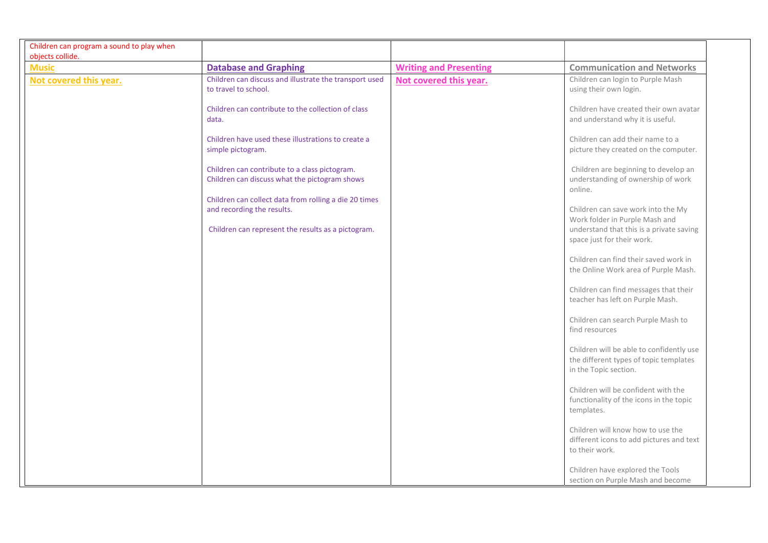| Children can program a sound to play when |                                                                                                                                           |                               |                                                                                                                  |
|-------------------------------------------|-------------------------------------------------------------------------------------------------------------------------------------------|-------------------------------|------------------------------------------------------------------------------------------------------------------|
| objects collide.                          |                                                                                                                                           |                               |                                                                                                                  |
| <b>Music</b>                              | <b>Database and Graphing</b>                                                                                                              | <b>Writing and Presenting</b> | <b>Communication and Networks</b>                                                                                |
| Not covered this year.                    | Children can discuss and illustrate the transport used<br>to travel to school.                                                            | Not covered this year.        | Children can login to Purple Mash<br>using their own login.                                                      |
|                                           | Children can contribute to the collection of class<br>data.                                                                               |                               | Children have created their own avatar<br>and understand why it is useful.                                       |
|                                           | Children have used these illustrations to create a<br>simple pictogram.                                                                   |                               | Children can add their name to a<br>picture they created on the computer.                                        |
|                                           | Children can contribute to a class pictogram.<br>Children can discuss what the pictogram shows                                            |                               | Children are beginning to develop an<br>understanding of ownership of work<br>online.                            |
|                                           | Children can collect data from rolling a die 20 times<br>and recording the results.<br>Children can represent the results as a pictogram. |                               | Children can save work into the My<br>Work folder in Purple Mash and<br>understand that this is a private saving |
|                                           |                                                                                                                                           |                               | space just for their work.<br>Children can find their saved work in<br>the Online Work area of Purple Mash.      |
|                                           |                                                                                                                                           |                               | Children can find messages that their<br>teacher has left on Purple Mash.                                        |
|                                           |                                                                                                                                           |                               | Children can search Purple Mash to<br>find resources                                                             |
|                                           |                                                                                                                                           |                               | Children will be able to confidently use<br>the different types of topic templates<br>in the Topic section.      |
|                                           |                                                                                                                                           |                               | Children will be confident with the<br>functionality of the icons in the topic<br>templates.                     |
|                                           |                                                                                                                                           |                               | Children will know how to use the<br>different icons to add pictures and text<br>to their work.                  |
|                                           |                                                                                                                                           |                               | Children have explored the Tools<br>section on Purple Mash and become                                            |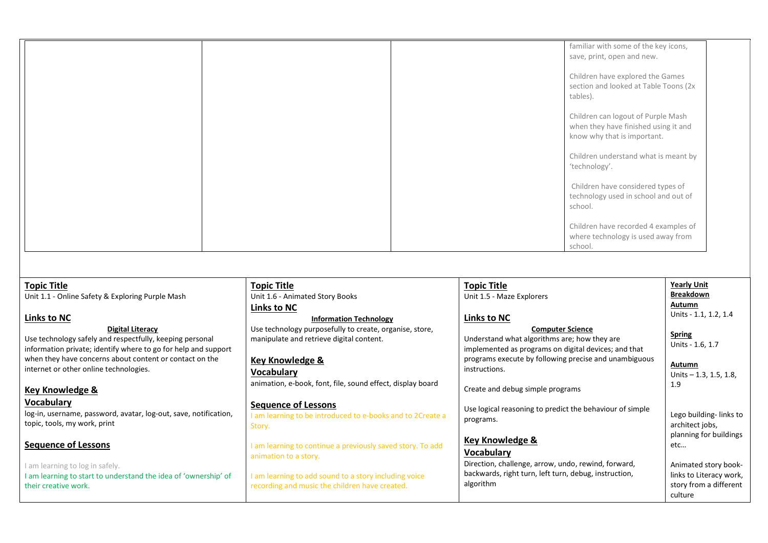|  | familiar with some of the key icons,<br>save, print, open and new.                                        |
|--|-----------------------------------------------------------------------------------------------------------|
|  | Children have explored the Games<br>section and looked at Table Toons (2x<br>tables).                     |
|  | Children can logout of Purple Mash<br>when they have finished using it and<br>know why that is important. |
|  | Children understand what is meant by<br>'technology'.                                                     |
|  | Children have considered types of<br>technology used in school and out of<br>school.                      |
|  | Children have recorded 4 examples of<br>where technology is used away from<br>school.                     |

#### Topic Title

Unit 1.1 - Online Safety & Exploring Purple Mash

### Links to NC

#### Digital Literacy

Use technology safely and respectfully, keeping personal information private; identify where to go for help and support when they have concerns about content or contact on the internet or other online technologies.

### Key Knowledge &

#### Vocabulary

log-in, username, password, avatar, log-out, save, notification, topic, tools, my work, print

## Sequence of Lessons

I am learning to log in safely. I am learning to start to understand the idea of 'ownership' of their creative work.

# Topic Title

Unit 1.6 - Animated Story Books Links to NC

## Information Technology

Use technology purposefully to create, organise, store, manipulate and retrieve digital content.

### Key Knowledge &

#### Vocabulary

animation, e-book, font, file, sound effect, display board

## Sequence of Lessons

I am learning to be introduced to e-books and to 2Create a Story.

I am learning to continue a previously saved story. To add animation to a story.

I am learning to add sound to a story including voice recording and music the children have created.

#### Topic Title Unit 1.5 - Maze Explorers

#### Links to NC

Computer Science Understand what algorithms are; how they are implemented as programs on digital devices; and that programs execute by following precise and unambiguous instructions. Create and debug simple programs

Use logical reasoning to predict the behaviour of simple programs.

# Key Knowledge &

Vocabulary

Direction, challenge, arrow, undo, rewind, forward, backwards, right turn, left turn, debug, instruction, algorithm

### Yearly Unit Breakdown Autumn

Units - 1.1, 1.2, 1.4

### Spring

Units - 1.6, 1.7

#### Autumn

Units – 1.3, 1.5, 1.8, 1.9

Lego building- links to architect jobs, planning for buildings etc… Animated story book-

links to Literacy work, story from a different

culture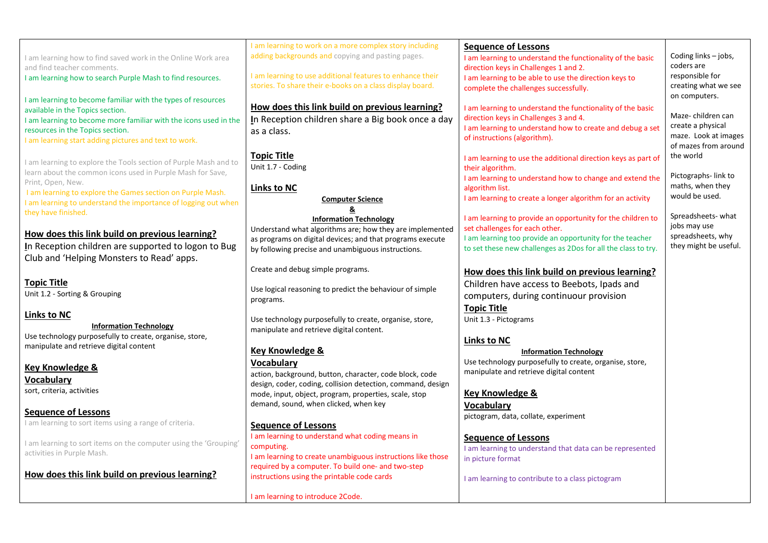|                                                                                          | I am learning to work on a more complex story including     | <b>Sequence of Lessons</b>                                                                                                |                                    |
|------------------------------------------------------------------------------------------|-------------------------------------------------------------|---------------------------------------------------------------------------------------------------------------------------|------------------------------------|
| I am learning how to find saved work in the Online Work area                             | adding backgrounds and copying and pasting pages.           | I am learning to understand the functionality of the basic                                                                | Coding links - jobs,               |
| and find teacher comments.                                                               |                                                             | direction keys in Challenges 1 and 2.                                                                                     | coders are                         |
| I am learning how to search Purple Mash to find resources.                               | I am learning to use additional features to enhance their   | I am learning to be able to use the direction keys to                                                                     | responsible for                    |
|                                                                                          | stories. To share their e-books on a class display board.   | complete the challenges successfully.                                                                                     | creating what we see               |
| I am learning to become familiar with the types of resources                             |                                                             |                                                                                                                           | on computers.                      |
| available in the Topics section.                                                         | How does this link build on previous learning?              | I am learning to understand the functionality of the basic                                                                | Maze-children can                  |
| I am learning to become more familiar with the icons used in the                         | In Reception children share a Big book once a day           | direction keys in Challenges 3 and 4.<br>I am learning to understand how to create and debug a set                        | create a physical                  |
| resources in the Topics section.                                                         | as a class.                                                 | of instructions (algorithm).                                                                                              | maze. Look at images               |
| I am learning start adding pictures and text to work.                                    |                                                             |                                                                                                                           | of mazes from around               |
|                                                                                          | <b>Topic Title</b>                                          | I am learning to use the additional direction keys as part of                                                             | the world                          |
| I am learning to explore the Tools section of Purple Mash and to                         | Unit 1.7 - Coding                                           | their algorithm.                                                                                                          |                                    |
| learn about the common icons used in Purple Mash for Save,<br>Print, Open, New.          |                                                             | I am learning to understand how to change and extend the                                                                  | Pictographs-link to                |
| I am learning to explore the Games section on Purple Mash.                               | <b>Links to NC</b>                                          | algorithm list.                                                                                                           | maths, when they                   |
| I am learning to understand the importance of logging out when                           | <b>Computer Science</b>                                     | I am learning to create a longer algorithm for an activity                                                                | would be used.                     |
| they have finished.                                                                      | <u>&amp;</u>                                                |                                                                                                                           |                                    |
|                                                                                          | <b>Information Technology</b>                               | I am learning to provide an opportunity for the children to                                                               | Spreadsheets- what<br>jobs may use |
| How does this link build on previous learning?                                           | Understand what algorithms are; how they are implemented    | set challenges for each other.                                                                                            | spreadsheets, why                  |
| In Reception children are supported to logon to Bug                                      | as programs on digital devices; and that programs execute   | I am learning too provide an opportunity for the teacher<br>to set these new challenges as 2Dos for all the class to try. | they might be useful.              |
| Club and 'Helping Monsters to Read' apps.                                                | by following precise and unambiguous instructions.          |                                                                                                                           |                                    |
|                                                                                          | Create and debug simple programs.                           |                                                                                                                           |                                    |
|                                                                                          |                                                             | How does this link build on previous learning?                                                                            |                                    |
| <b>Topic Title</b>                                                                       | Use logical reasoning to predict the behaviour of simple    | Children have access to Beebots, Ipads and                                                                                |                                    |
| Unit 1.2 - Sorting & Grouping                                                            | programs.                                                   | computers, during continuour provision                                                                                    |                                    |
|                                                                                          |                                                             | <b>Topic Title</b>                                                                                                        |                                    |
| <b>Links to NC</b>                                                                       | Use technology purposefully to create, organise, store,     | Unit 1.3 - Pictograms                                                                                                     |                                    |
| <b>Information Technology</b><br>Use technology purposefully to create, organise, store, | manipulate and retrieve digital content.                    |                                                                                                                           |                                    |
| manipulate and retrieve digital content                                                  |                                                             | Links to NC                                                                                                               |                                    |
|                                                                                          | <b>Key Knowledge &amp;</b>                                  | <b>Information Technology</b>                                                                                             |                                    |
| <b>Key Knowledge &amp;</b>                                                               | <b>Vocabulary</b>                                           | Use technology purposefully to create, organise, store,                                                                   |                                    |
| Vocabulary                                                                               | action, background, button, character, code block, code     | manipulate and retrieve digital content                                                                                   |                                    |
| sort, criteria, activities                                                               | design, coder, coding, collision detection, command, design |                                                                                                                           |                                    |
|                                                                                          | mode, input, object, program, properties, scale, stop       | <b>Key Knowledge &amp;</b>                                                                                                |                                    |
| <b>Sequence of Lessons</b>                                                               | demand, sound, when clicked, when key                       | <b>Vocabulary</b>                                                                                                         |                                    |
| I am learning to sort items using a range of criteria.                                   | <b>Sequence of Lessons</b>                                  | pictogram, data, collate, experiment                                                                                      |                                    |
|                                                                                          | I am learning to understand what coding means in            |                                                                                                                           |                                    |
| I am learning to sort items on the computer using the 'Grouping'                         | computing.                                                  | <b>Sequence of Lessons</b>                                                                                                |                                    |
| activities in Purple Mash.                                                               | I am learning to create unambiguous instructions like those | I am learning to understand that data can be represented<br>in picture format                                             |                                    |
|                                                                                          | required by a computer. To build one- and two-step          |                                                                                                                           |                                    |
| How does this link build on previous learning?                                           | instructions using the printable code cards                 | I am learning to contribute to a class pictogram                                                                          |                                    |
|                                                                                          |                                                             |                                                                                                                           |                                    |
|                                                                                          | I am learning to introduce 2Code.                           |                                                                                                                           |                                    |
|                                                                                          |                                                             |                                                                                                                           |                                    |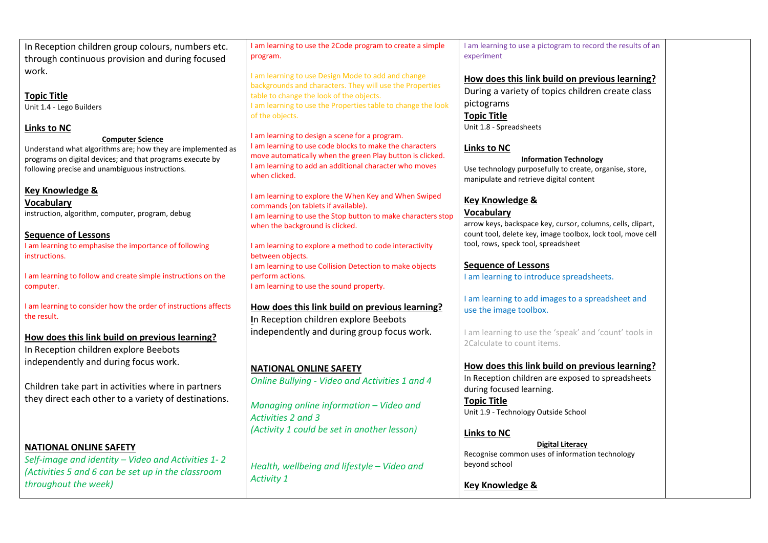In Reception children group colours, numbers etc. through continuous provision and during focused work.

Topic Title Unit 1.4 - Lego Builders

## Links to NC

Computer Science

Understand what algorithms are; how they are implemented as programs on digital devices; and that programs execute by following precise and unambiguous instructions.

# Key Knowledge &

**Vocabulary** instruction, algorithm, computer, program, debug

#### Sequence of Lessons I am learning to emphasise the importance of following instructions.

I am learning to follow and create simple instructions on the computer.

I am learning to consider how the order of instructions affects the result.

# How does this link build on previous learning?

In Reception children explore Beebots independently and during focus work.

Children take part in activities where in partners they direct each other to a variety of destinations.

# NATIONAL ONLINE SAFETY

Self-image and identity – Video and Activities 1- 2 (Activities 5 and 6 can be set up in the classroom throughout the week)

I am learning to use the 2Code program to create a simple program.

I am learning to use Design Mode to add and change backgrounds and characters. They will use the Properties table to change the look of the objects. I am learning to use the Properties table to change the look of the objects.

I am learning to design a scene for a program. I am learning to use code blocks to make the characters move automatically when the green Play button is clicked. I am learning to add an additional character who moves when clicked.

I am learning to explore the When Key and When Swiped commands (on tablets if available). I am learning to use the Stop button to make characters stop when the background is clicked.

I am learning to explore a method to code interactivity between objects. I am learning to use Collision Detection to make objects perform actions. I am learning to use the sound property.

# How does this link build on previous learning?

In Reception children explore Beebots independently and during group focus work.

# NATIONAL ONLINE SAFETY

Online Bullying - Video and Activities 1 and 4

Managing online information – Video and Activities 2 and 3 (Activity 1 could be set in another lesson)

Health, wellbeing and lifestyle – Video and Activity 1

I am learning to use a pictogram to record the results of an experiment

## How does this link build on previous learning? During a variety of topics children create class pictograms Topic Title Unit 1.8 - Spreadsheets

# Links to NC

## Information Technology

Use technology purposefully to create, organise, store, manipulate and retrieve digital content

# Key Knowledge &

## Vocabulary

arrow keys, backspace key, cursor, columns, cells, clipart, count tool, delete key, image toolbox, lock tool, move cell tool, rows, speck tool, spreadsheet

# Sequence of Lessons

I am learning to introduce spreadsheets.

## I am learning to add images to a spreadsheet and use the image toolbox.

I am learning to use the 'speak' and 'count' tools in 2Calculate to count items.

# How does this link build on previous learning?

In Reception children are exposed to spreadsheets during focused learning.

Topic Title Unit 1.9 - Technology Outside School

# Links to NC

Digital Literacy Recognise common uses of information technology beyond school

Key Knowledge &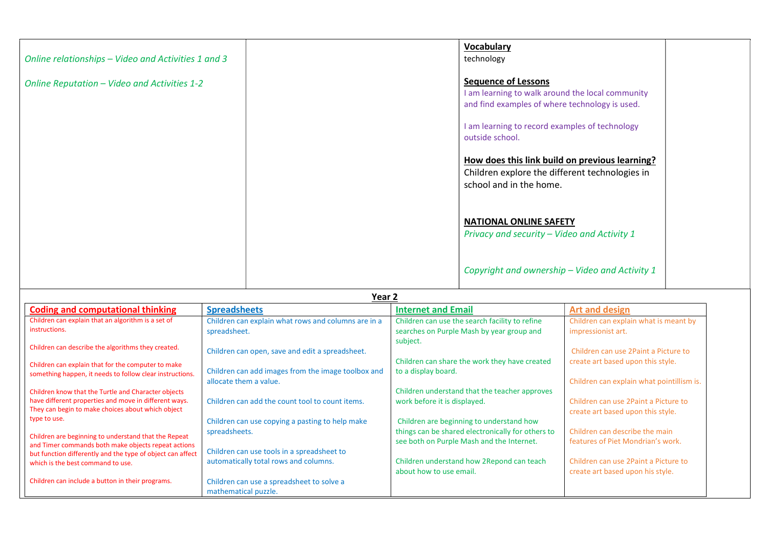| Online relationships - Video and Activities 1 and 3 |               | <b>Vocabulary</b><br>technology                                                                                                  |  |
|-----------------------------------------------------|---------------|----------------------------------------------------------------------------------------------------------------------------------|--|
| Online Reputation - Video and Activities 1-2        |               | <b>Sequence of Lessons</b><br>I am learning to walk around the local community<br>and find examples of where technology is used. |  |
|                                                     |               | I am learning to record examples of technology<br>outside school.                                                                |  |
|                                                     |               | How does this link build on previous learning?<br>Children explore the different technologies in<br>school and in the home.      |  |
|                                                     |               | <b>NATIONAL ONLINE SAFETY</b><br>Privacy and security - Video and Activity 1                                                     |  |
|                                                     | $\sim$ $\sim$ | Copyright and ownership - Video and Activity 1                                                                                   |  |

|                                                                                                            | Year 2                                              |                                                                                                |                                           |  |  |
|------------------------------------------------------------------------------------------------------------|-----------------------------------------------------|------------------------------------------------------------------------------------------------|-------------------------------------------|--|--|
| <b>Coding and computational thinking</b>                                                                   | <b>Spreadsheets</b>                                 | <b>Internet and Email</b>                                                                      | <b>Art and design</b>                     |  |  |
| Children can explain that an algorithm is a set of                                                         | Children can explain what rows and columns are in a | Children can use the search facility to refine                                                 | Children can explain what is meant by     |  |  |
| instructions.                                                                                              | spreadsheet.                                        | searches on Purple Mash by year group and                                                      | impressionist art.                        |  |  |
| Children can describe the algorithms they created.                                                         |                                                     | subject.                                                                                       |                                           |  |  |
|                                                                                                            | Children can open, save and edit a spreadsheet.     |                                                                                                | Children can use 2Paint a Picture to      |  |  |
| Children can explain that for the computer to make                                                         |                                                     | Children can share the work they have created                                                  | create art based upon this style.         |  |  |
| something happen, it needs to follow clear instructions.                                                   | Children can add images from the image toolbox and  | to a display board.                                                                            |                                           |  |  |
|                                                                                                            | allocate them a value.                              |                                                                                                | Children can explain what pointillism is. |  |  |
| Children know that the Turtle and Character objects                                                        |                                                     | Children understand that the teacher approves                                                  |                                           |  |  |
| have different properties and move in different ways.<br>They can begin to make choices about which object | Children can add the count tool to count items.     | work before it is displayed.                                                                   | Children can use 2Paint a Picture to      |  |  |
| type to use.                                                                                               |                                                     |                                                                                                | create art based upon this style.         |  |  |
|                                                                                                            | Children can use copying a pasting to help make     | Children are beginning to understand how                                                       | Children can describe the main            |  |  |
| Children are beginning to understand that the Repeat                                                       | spreadsheets.                                       | things can be shared electronically for others to<br>see both on Purple Mash and the Internet. | features of Piet Mondrian's work.         |  |  |
| and Timer commands both make objects repeat actions                                                        | Children can use tools in a spreadsheet to          |                                                                                                |                                           |  |  |
| but function differently and the type of object can affect<br>which is the best command to use.            | automatically total rows and columns.               | Children understand how 2 Repond can teach                                                     | Children can use 2Paint a Picture to      |  |  |
|                                                                                                            |                                                     | about how to use email.                                                                        | create art based upon his style.          |  |  |
| Children can include a button in their programs.                                                           | Children can use a spreadsheet to solve a           |                                                                                                |                                           |  |  |
|                                                                                                            | mathematical puzzle.                                |                                                                                                |                                           |  |  |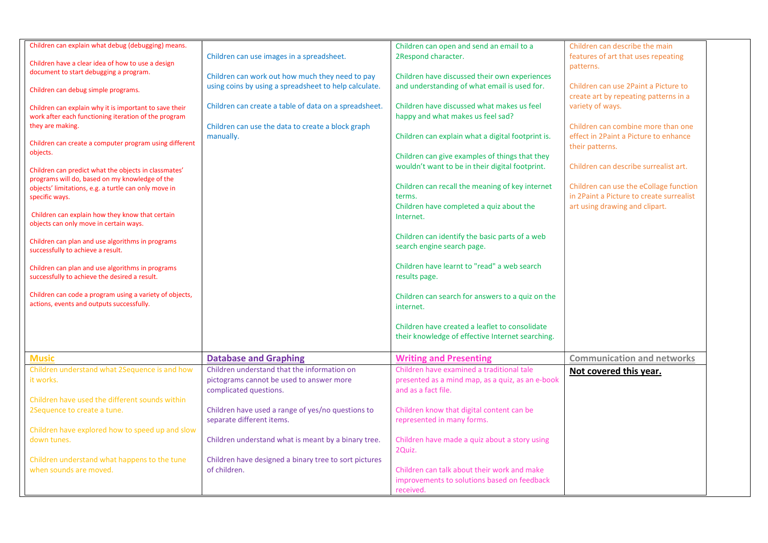| Children can explain what debug (debugging) means.                                                     |                                                       | Children can open and send an email to a          | Children can describe the main           |
|--------------------------------------------------------------------------------------------------------|-------------------------------------------------------|---------------------------------------------------|------------------------------------------|
|                                                                                                        | Children can use images in a spreadsheet.             | 2Respond character.                               | features of art that uses repeating      |
| Children have a clear idea of how to use a design                                                      |                                                       |                                                   | patterns.                                |
| document to start debugging a program.                                                                 | Children can work out how much they need to pay       | Children have discussed their own experiences     |                                          |
|                                                                                                        | using coins by using a spreadsheet to help calculate. | and understanding of what email is used for.      | Children can use 2Paint a Picture to     |
| Children can debug simple programs.                                                                    |                                                       |                                                   | create art by repeating patterns in a    |
|                                                                                                        | Children can create a table of data on a spreadsheet. | Children have discussed what makes us feel        | variety of ways.                         |
| Children can explain why it is important to save their                                                 |                                                       |                                                   |                                          |
| work after each functioning iteration of the program                                                   |                                                       | happy and what makes us feel sad?                 |                                          |
| they are making.                                                                                       | Children can use the data to create a block graph     |                                                   | Children can combine more than one       |
|                                                                                                        | manually.                                             | Children can explain what a digital footprint is. | effect in 2Paint a Picture to enhance    |
| Children can create a computer program using different                                                 |                                                       |                                                   | their patterns.                          |
| objects.                                                                                               |                                                       | Children can give examples of things that they    |                                          |
|                                                                                                        |                                                       | wouldn't want to be in their digital footprint.   | Children can describe surrealist art.    |
| Children can predict what the objects in classmates'<br>programs will do, based on my knowledge of the |                                                       |                                                   |                                          |
| objects' limitations, e.g. a turtle can only move in                                                   |                                                       | Children can recall the meaning of key internet   | Children can use the eCollage function   |
| specific ways.                                                                                         |                                                       | terms.                                            | in 2Paint a Picture to create surrealist |
|                                                                                                        |                                                       | Children have completed a quiz about the          | art using drawing and clipart.           |
| Children can explain how they know that certain                                                        |                                                       |                                                   |                                          |
| objects can only move in certain ways.                                                                 |                                                       | Internet.                                         |                                          |
|                                                                                                        |                                                       |                                                   |                                          |
| Children can plan and use algorithms in programs                                                       |                                                       | Children can identify the basic parts of a web    |                                          |
| successfully to achieve a result.                                                                      |                                                       | search engine search page.                        |                                          |
|                                                                                                        |                                                       |                                                   |                                          |
| Children can plan and use algorithms in programs                                                       |                                                       | Children have learnt to "read" a web search       |                                          |
| successfully to achieve the desired a result.                                                          |                                                       | results page.                                     |                                          |
|                                                                                                        |                                                       |                                                   |                                          |
| Children can code a program using a variety of objects,                                                |                                                       | Children can search for answers to a quiz on the  |                                          |
| actions, events and outputs successfully.                                                              |                                                       | internet.                                         |                                          |
|                                                                                                        |                                                       |                                                   |                                          |
|                                                                                                        |                                                       | Children have created a leaflet to consolidate    |                                          |
|                                                                                                        |                                                       |                                                   |                                          |
|                                                                                                        |                                                       | their knowledge of effective Internet searching.  |                                          |
|                                                                                                        |                                                       |                                                   |                                          |
| <b>Music</b>                                                                                           | <b>Database and Graphing</b>                          | <b>Writing and Presenting</b>                     | <b>Communication and networks</b>        |
| Children understand what 2Sequence is and how                                                          | Children understand that the information on           | Children have examined a traditional tale         | Not covered this year.                   |
| it works.                                                                                              | pictograms cannot be used to answer more              | presented as a mind map, as a quiz, as an e-book  |                                          |
|                                                                                                        | complicated questions.                                | and as a fact file.                               |                                          |
| Children have used the different sounds within                                                         |                                                       |                                                   |                                          |
| 2Sequence to create a tune.                                                                            | Children have used a range of yes/no questions to     | Children know that digital content can be         |                                          |
|                                                                                                        | separate different items.                             | represented in many forms.                        |                                          |
| Children have explored how to speed up and slow                                                        |                                                       |                                                   |                                          |
|                                                                                                        |                                                       |                                                   |                                          |
| down tunes.                                                                                            | Children understand what is meant by a binary tree.   | Children have made a quiz about a story using     |                                          |
|                                                                                                        |                                                       | 2Quiz.                                            |                                          |
| Children understand what happens to the tune                                                           | Children have designed a binary tree to sort pictures |                                                   |                                          |
| when sounds are moved.                                                                                 | of children.                                          | Children can talk about their work and make       |                                          |
|                                                                                                        |                                                       | improvements to solutions based on feedback       |                                          |
|                                                                                                        |                                                       | received.                                         |                                          |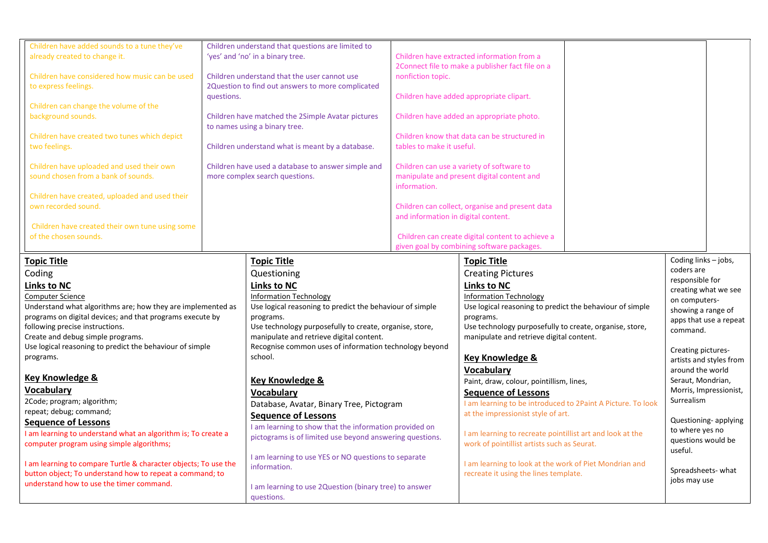| Children have added sounds to a tune they've<br>already created to change it.<br>Children have considered how music can be used<br>to express feelings.<br>Children can change the volume of the<br>background sounds.<br>Children have created two tunes which depict<br>two feelings.<br>Children have uploaded and used their own<br>sound chosen from a bank of sounds.<br>Children have created, uploaded and used their<br>own recorded sound.<br>Children have created their own tune using some<br>of the chosen sounds.                                                                                                                                                                                                                                                       | questions. | Children understand that questions are limited to<br>'yes' and 'no' in a binary tree.<br>Children understand that the user cannot use<br>2Question to find out answers to more complicated<br>Children have matched the 2Simple Avatar pictures<br>to names using a binary tree.<br>Children understand what is meant by a database.<br>Children have used a database to answer simple and<br>more complex search questions.                                                                                                                                                                                                                                                                                                                     | nonfiction topic.<br>tables to make it useful.<br>information.<br>and information in digital content. | Children have extracted information from a<br>2Connect file to make a publisher fact file on a<br>Children have added appropriate clipart.<br>Children have added an appropriate photo.<br>Children know that data can be structured in<br>Children can use a variety of software to<br>manipulate and present digital content and<br>Children can collect, organise and present data<br>Children can create digital content to achieve a<br>given goal by combining software packages.                                                                                                                                                                                                                                         |                                                                                                                                                                                                                                                                                                                                                                                                                |
|----------------------------------------------------------------------------------------------------------------------------------------------------------------------------------------------------------------------------------------------------------------------------------------------------------------------------------------------------------------------------------------------------------------------------------------------------------------------------------------------------------------------------------------------------------------------------------------------------------------------------------------------------------------------------------------------------------------------------------------------------------------------------------------|------------|--------------------------------------------------------------------------------------------------------------------------------------------------------------------------------------------------------------------------------------------------------------------------------------------------------------------------------------------------------------------------------------------------------------------------------------------------------------------------------------------------------------------------------------------------------------------------------------------------------------------------------------------------------------------------------------------------------------------------------------------------|-------------------------------------------------------------------------------------------------------|---------------------------------------------------------------------------------------------------------------------------------------------------------------------------------------------------------------------------------------------------------------------------------------------------------------------------------------------------------------------------------------------------------------------------------------------------------------------------------------------------------------------------------------------------------------------------------------------------------------------------------------------------------------------------------------------------------------------------------|----------------------------------------------------------------------------------------------------------------------------------------------------------------------------------------------------------------------------------------------------------------------------------------------------------------------------------------------------------------------------------------------------------------|
| <b>Topic Title</b><br>Coding<br><b>Links to NC</b><br>Computer Science<br>Understand what algorithms are; how they are implemented as<br>programs on digital devices; and that programs execute by<br>following precise instructions.<br>Create and debug simple programs.<br>Use logical reasoning to predict the behaviour of simple<br>programs.<br><b>Key Knowledge &amp;</b><br><b>Vocabulary</b><br>2Code; program; algorithm;<br>repeat; debug; command;<br><b>Sequence of Lessons</b><br>I am learning to understand what an algorithm is; To create a<br>computer program using simple algorithms;<br>I am learning to compare Turtle & character objects; To use the<br>button object; To understand how to repeat a command; to<br>understand how to use the timer command. |            | <b>Topic Title</b><br>Questioning<br><b>Links to NC</b><br><b>Information Technology</b><br>Use logical reasoning to predict the behaviour of simple<br>programs.<br>Use technology purposefully to create, organise, store,<br>manipulate and retrieve digital content.<br>Recognise common uses of information technology beyond<br>school.<br><b>Key Knowledge &amp;</b><br><b>Vocabulary</b><br>Database, Avatar, Binary Tree, Pictogram<br><b>Sequence of Lessons</b><br>I am learning to show that the information provided on<br>pictograms is of limited use beyond answering questions.<br>I am learning to use YES or NO questions to separate<br>information.<br>I am learning to use 2Question (binary tree) to answer<br>questions. |                                                                                                       | <b>Topic Title</b><br><b>Creating Pictures</b><br><b>Links to NC</b><br><b>Information Technology</b><br>Use logical reasoning to predict the behaviour of simple<br>programs.<br>Use technology purposefully to create, organise, store,<br>manipulate and retrieve digital content.<br><b>Key Knowledge &amp;</b><br>Vocabulary<br>Paint, draw, colour, pointillism, lines,<br><b>Sequence of Lessons</b><br>I am learning to be introduced to 2Paint A Picture. To look<br>at the impressionist style of art.<br>I am learning to recreate pointillist art and look at the<br>work of pointillist artists such as Seurat.<br>I am learning to look at the work of Piet Mondrian and<br>recreate it using the lines template. | Coding links - jobs,<br>coders are<br>responsible for<br>creating what we see<br>on computers-<br>showing a range of<br>apps that use a repeat<br>command.<br>Creating pictures-<br>artists and styles from<br>around the world<br>Seraut, Mondrian,<br>Morris, Impressionist,<br>Surrealism<br>Questioning- applying<br>to where yes no<br>questions would be<br>useful.<br>Spreadsheets-what<br>jobs may use |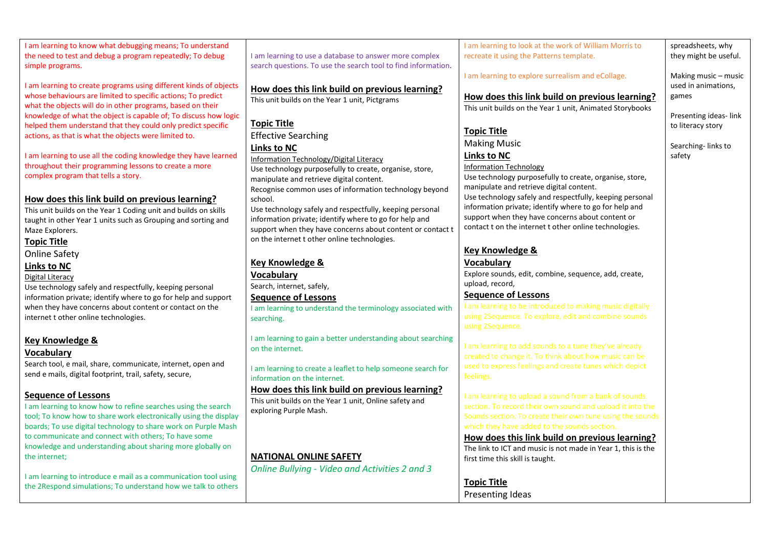I am learning to know what debugging means; To understand the need to test and debug a program repeatedly; To debug simple programs. I am learning to create programs using different kinds of objects whose behaviours are limited to specific actions; To predict what the objects will do in other programs, based on their knowledge of what the object is capable of; To discuss how logic helped them understand that they could only predict specific actions, as that is what the objects were limited to. I am learning to use all the coding knowledge they have learned throughout their programming lessons to create a more complex program that tells a story. How does this link build on previous learning? This unit builds on the Year 1 Coding unit and builds on skills taught in other Year 1 units such as Grouping and sorting and Maze Explorers. Online Safety Use technology safely and respectfully, keeping personal information private; identify where to go for help and support when they have concerns about content or contact on the internet t other online technologies. Key Knowledge & Search tool, e mail, share, communicate, internet, open and send e mails, digital footprint, trail, safety, secure, Sequence of Lessons I am learning to know how to refine searches using the search tool; To know how to share work electronically using the display boards; To use digital technology to share work on Purple Mash to communicate and connect with others; To have some knowledge and understanding about sharing more globally on I am learning to introduce e mail as a communication tool using the 2Respond simulations; To understand how we talk to others I am learning to use a database to answer more complex search questions. To use the search tool to find information. How does this link build on previous learning? This unit builds on the Year 1 unit, Pictgrams Topic Title Effective Searching Links to NC Information Technology/Digital Literacy Use technology purposefully to create, organise, store, manipulate and retrieve digital content. Recognise common uses of information technology beyond school. Use technology safely and respectfully, keeping personal information private; identify where to go for help and support when they have concerns about content or contact t on the internet t other online technologies. Key Knowledge & **Vocabulary** Search, internet, safely, Sequence of Lessons I am learning to understand the terminology associated with searching. I am learning to gain a better understanding about searching on the internet. I am learning to create a leaflet to help someone search for information on the internet. How does this link build on previous learning? This unit builds on the Year 1 unit, Online safety and exploring Purple Mash. NATIONAL ONLINE SAFETY Online Bullying - Video and Activities 2 and 3 I am learning to look at the work of William Morris to recreate it using the Patterns template. I am learning to explore surrealism and eCollage. How does this link build on previous learning? This unit builds on the Year 1 unit, Animated Storybooks Topic Title Making Music Links to NC Information Technology Use technology purposefully to create, organise, store, manipulate and retrieve digital content. Use technology safely and respectfully, keeping personal information private; identify where to go for help and support when they have concerns about content or contact t on the internet t other online technologies. Key Knowledge & Vocabulary Explore sounds, edit, combine, sequence, add, create, upload, record, Sequence of Lessons How does this link build on previous learning? The link to ICT and music is not made in Year 1, this is the first time this skill is taught. Topic Title Presenting Ideas

Topic Title

Links to NC Digital Literacy

Vocabulary

the internet;

spreadsheets, why they might be useful.

Making music – music used in animations, games

Presenting ideas- link to literacy story

Searching- links to safety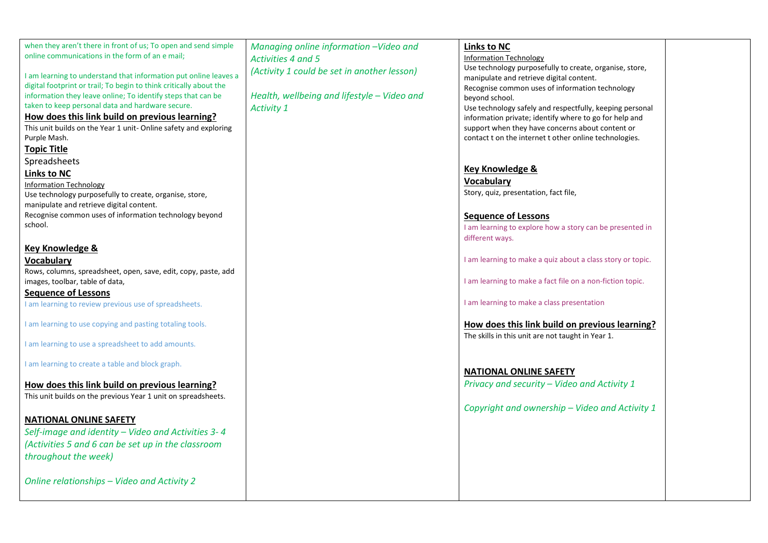| when they aren't there in front of us; To open and send simple     | Managing online information -Video and      | <b>Links to NC</b>                                         |  |
|--------------------------------------------------------------------|---------------------------------------------|------------------------------------------------------------|--|
| online communications in the form of an e mail;                    | Activities 4 and 5                          | <b>Information Technology</b>                              |  |
|                                                                    | (Activity 1 could be set in another lesson) | Use technology purposefully to create, organise, store,    |  |
| I am learning to understand that information put online leaves a   |                                             | manipulate and retrieve digital content.                   |  |
| digital footprint or trail; To begin to think critically about the |                                             | Recognise common uses of information technology            |  |
| information they leave online; To identify steps that can be       | Health, wellbeing and lifestyle - Video and | beyond school.                                             |  |
| taken to keep personal data and hardware secure.                   | <b>Activity 1</b>                           | Use technology safely and respectfully, keeping personal   |  |
| How does this link build on previous learning?                     |                                             | information private; identify where to go for help and     |  |
| This unit builds on the Year 1 unit- Online safety and exploring   |                                             | support when they have concerns about content or           |  |
| Purple Mash.                                                       |                                             | contact t on the internet t other online technologies.     |  |
| <b>Topic Title</b>                                                 |                                             |                                                            |  |
| Spreadsheets                                                       |                                             |                                                            |  |
| <b>Links to NC</b>                                                 |                                             | Key Knowledge &                                            |  |
| <b>Information Technology</b>                                      |                                             | Vocabulary                                                 |  |
| Use technology purposefully to create, organise, store,            |                                             | Story, quiz, presentation, fact file,                      |  |
| manipulate and retrieve digital content.                           |                                             |                                                            |  |
| Recognise common uses of information technology beyond             |                                             | <b>Sequence of Lessons</b>                                 |  |
| school.                                                            |                                             | I am learning to explore how a story can be presented in   |  |
|                                                                    |                                             | different ways.                                            |  |
| <b>Key Knowledge &amp;</b>                                         |                                             |                                                            |  |
| <b>Vocabulary</b>                                                  |                                             | I am learning to make a quiz about a class story or topic. |  |
| Rows, columns, spreadsheet, open, save, edit, copy, paste, add     |                                             |                                                            |  |
| images, toolbar, table of data,                                    |                                             | I am learning to make a fact file on a non-fiction topic.  |  |
| <b>Sequence of Lessons</b>                                         |                                             |                                                            |  |
| I am learning to review previous use of spreadsheets.              |                                             | I am learning to make a class presentation                 |  |
|                                                                    |                                             |                                                            |  |
| I am learning to use copying and pasting totaling tools.           |                                             | How does this link build on previous learning?             |  |
|                                                                    |                                             | The skills in this unit are not taught in Year 1.          |  |
| I am learning to use a spreadsheet to add amounts.                 |                                             |                                                            |  |
|                                                                    |                                             |                                                            |  |
| I am learning to create a table and block graph.                   |                                             | <b>NATIONAL ONLINE SAFETY</b>                              |  |
|                                                                    |                                             |                                                            |  |
| How does this link build on previous learning?                     |                                             | Privacy and security - Video and Activity 1                |  |
| This unit builds on the previous Year 1 unit on spreadsheets.      |                                             |                                                            |  |
|                                                                    |                                             | Copyright and ownership - Video and Activity 1             |  |
| <b>NATIONAL ONLINE SAFETY</b>                                      |                                             |                                                            |  |
| Self-image and identity - Video and Activities 3-4                 |                                             |                                                            |  |
| (Activities 5 and 6 can be set up in the classroom                 |                                             |                                                            |  |
| throughout the week)                                               |                                             |                                                            |  |
|                                                                    |                                             |                                                            |  |
|                                                                    |                                             |                                                            |  |
| Online relationships - Video and Activity 2                        |                                             |                                                            |  |
|                                                                    |                                             |                                                            |  |
|                                                                    |                                             |                                                            |  |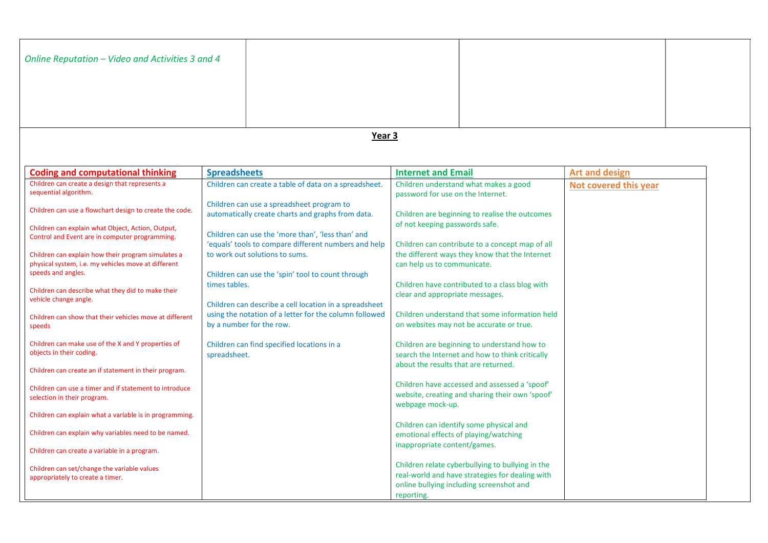| Online Reputation - Video and Activities 3 and 4                                                          |                     |                                                                                                           |                                      |                                                                                                                                                 |                       |  |
|-----------------------------------------------------------------------------------------------------------|---------------------|-----------------------------------------------------------------------------------------------------------|--------------------------------------|-------------------------------------------------------------------------------------------------------------------------------------------------|-----------------------|--|
| Year 3                                                                                                    |                     |                                                                                                           |                                      |                                                                                                                                                 |                       |  |
|                                                                                                           |                     |                                                                                                           |                                      |                                                                                                                                                 |                       |  |
| <b>Coding and computational thinking</b>                                                                  | <b>Spreadsheets</b> |                                                                                                           | <b>Internet and Email</b>            |                                                                                                                                                 | <b>Art and design</b> |  |
| Children can create a design that represents a<br>sequential algorithm.                                   |                     | Children can create a table of data on a spreadsheet.                                                     | password for use on the Internet.    | Children understand what makes a good                                                                                                           | Not covered this year |  |
| Children can use a flowchart design to create the code.                                                   |                     | Children can use a spreadsheet program to<br>automatically create charts and graphs from data.            |                                      | Children are beginning to realise the outcomes                                                                                                  |                       |  |
| Children can explain what Object, Action, Output,<br>Control and Event are in computer programming.       |                     | Children can use the 'more than', 'less than' and<br>'equals' tools to compare different numbers and help | of not keeping passwords safe.       | Children can contribute to a concept map of all                                                                                                 |                       |  |
| Children can explain how their program simulates a<br>physical system, i.e. my vehicles move at different |                     | to work out solutions to sums.                                                                            | can help us to communicate.          | the different ways they know that the Internet                                                                                                  |                       |  |
| speeds and angles.                                                                                        | times tables.       | Children can use the 'spin' tool to count through                                                         |                                      | Children have contributed to a class blog with                                                                                                  |                       |  |
| Children can describe what they did to make their<br>vehicle change angle.                                |                     | Children can describe a cell location in a spreadsheet                                                    | clear and appropriate messages.      |                                                                                                                                                 |                       |  |
| Children can show that their vehicles move at different<br>speeds                                         |                     | using the notation of a letter for the column followed<br>by a number for the row.                        |                                      | Children understand that some information held<br>on websites may not be accurate or true.                                                      |                       |  |
| Children can make use of the X and Y properties of<br>objects in their coding.                            | spreadsheet.        | Children can find specified locations in a                                                                |                                      | Children are beginning to understand how to<br>search the Internet and how to think critically                                                  |                       |  |
| Children can create an if statement in their program.                                                     |                     |                                                                                                           | about the results that are returned. |                                                                                                                                                 |                       |  |
| Children can use a timer and if statement to introduce<br>selection in their program.                     |                     |                                                                                                           |                                      | Children have accessed and assessed a 'spoof'<br>website, creating and sharing their own 'spoof'                                                |                       |  |
| Children can explain what a variable is in programming.                                                   |                     |                                                                                                           | webpage mock-up.                     | Children can identify some physical and                                                                                                         |                       |  |
| Children can explain why variables need to be named.                                                      |                     |                                                                                                           | inappropriate content/games.         | emotional effects of playing/watching                                                                                                           |                       |  |
| Children can create a variable in a program.                                                              |                     |                                                                                                           |                                      |                                                                                                                                                 |                       |  |
| Children can set/change the variable values<br>appropriately to create a timer.                           |                     |                                                                                                           | reporting.                           | Children relate cyberbullying to bullying in the<br>real-world and have strategies for dealing with<br>online bullying including screenshot and |                       |  |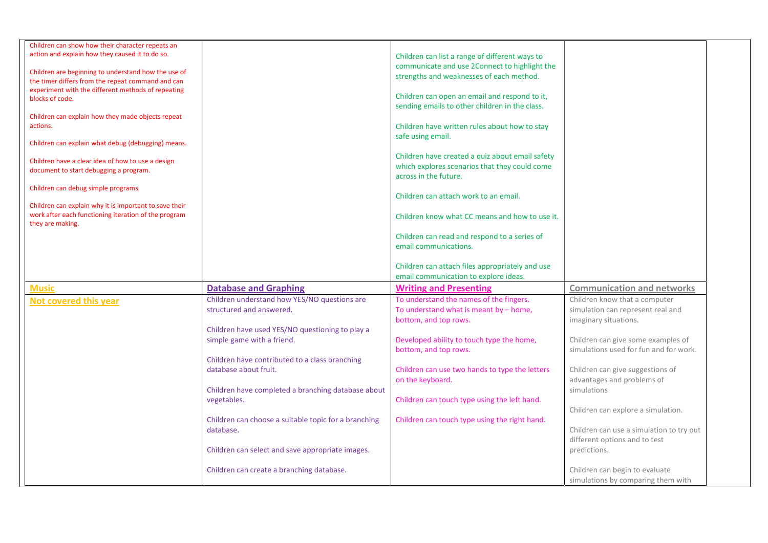| Children can show how their character repeats an              |                                                                               |                                                                    |                                                                              |
|---------------------------------------------------------------|-------------------------------------------------------------------------------|--------------------------------------------------------------------|------------------------------------------------------------------------------|
| action and explain how they caused it to do so.               |                                                                               | Children can list a range of different ways to                     |                                                                              |
|                                                               |                                                                               | communicate and use 2Connect to highlight the                      |                                                                              |
| Children are beginning to understand how the use of           |                                                                               | strengths and weaknesses of each method.                           |                                                                              |
| the timer differs from the repeat command and can             |                                                                               |                                                                    |                                                                              |
| experiment with the different methods of repeating            |                                                                               | Children can open an email and respond to it,                      |                                                                              |
| blocks of code.                                               |                                                                               | sending emails to other children in the class.                     |                                                                              |
|                                                               |                                                                               |                                                                    |                                                                              |
| Children can explain how they made objects repeat<br>actions. |                                                                               |                                                                    |                                                                              |
|                                                               |                                                                               | Children have written rules about how to stay                      |                                                                              |
| Children can explain what debug (debugging) means.            |                                                                               | safe using email.                                                  |                                                                              |
|                                                               |                                                                               |                                                                    |                                                                              |
| Children have a clear idea of how to use a design             |                                                                               | Children have created a quiz about email safety                    |                                                                              |
| document to start debugging a program.                        |                                                                               | which explores scenarios that they could come                      |                                                                              |
|                                                               |                                                                               | across in the future.                                              |                                                                              |
| Children can debug simple programs.                           |                                                                               |                                                                    |                                                                              |
|                                                               |                                                                               | Children can attach work to an email.                              |                                                                              |
| Children can explain why it is important to save their        |                                                                               |                                                                    |                                                                              |
| work after each functioning iteration of the program          |                                                                               | Children know what CC means and how to use it.                     |                                                                              |
| they are making.                                              |                                                                               |                                                                    |                                                                              |
|                                                               |                                                                               | Children can read and respond to a series of                       |                                                                              |
|                                                               |                                                                               | email communications.                                              |                                                                              |
|                                                               |                                                                               |                                                                    |                                                                              |
|                                                               |                                                                               |                                                                    |                                                                              |
|                                                               |                                                                               | Children can attach files appropriately and use                    |                                                                              |
|                                                               |                                                                               | email communication to explore ideas.                              |                                                                              |
| <b>Music</b>                                                  | <b>Database and Graphing</b>                                                  | <b>Writing and Presenting</b>                                      | <b>Communication and networks</b>                                            |
|                                                               | Children understand how YES/NO questions are                                  | To understand the names of the fingers.                            | Children know that a computer                                                |
| Not covered this year                                         | structured and answered.                                                      | To understand what is meant by $-$ home,                           | simulation can represent real and                                            |
|                                                               |                                                                               | bottom, and top rows.                                              | imaginary situations.                                                        |
|                                                               |                                                                               |                                                                    |                                                                              |
|                                                               | Children have used YES/NO questioning to play a<br>simple game with a friend. |                                                                    |                                                                              |
|                                                               |                                                                               | Developed ability to touch type the home,<br>bottom, and top rows. | Children can give some examples of<br>simulations used for fun and for work. |
|                                                               |                                                                               |                                                                    |                                                                              |
|                                                               | Children have contributed to a class branching                                |                                                                    |                                                                              |
|                                                               | database about fruit.                                                         | Children can use two hands to type the letters                     | Children can give suggestions of                                             |
|                                                               |                                                                               | on the keyboard.                                                   | advantages and problems of                                                   |
|                                                               | Children have completed a branching database about                            |                                                                    | simulations                                                                  |
|                                                               | vegetables.                                                                   | Children can touch type using the left hand.                       |                                                                              |
|                                                               |                                                                               |                                                                    | Children can explore a simulation.                                           |
|                                                               | Children can choose a suitable topic for a branching                          | Children can touch type using the right hand.                      |                                                                              |
|                                                               | database.                                                                     |                                                                    | Children can use a simulation to try out                                     |
|                                                               |                                                                               |                                                                    | different options and to test                                                |
|                                                               | Children can select and save appropriate images.                              |                                                                    | predictions.                                                                 |
|                                                               |                                                                               |                                                                    |                                                                              |
|                                                               | Children can create a branching database.                                     |                                                                    | Children can begin to evaluate<br>simulations by comparing them with         |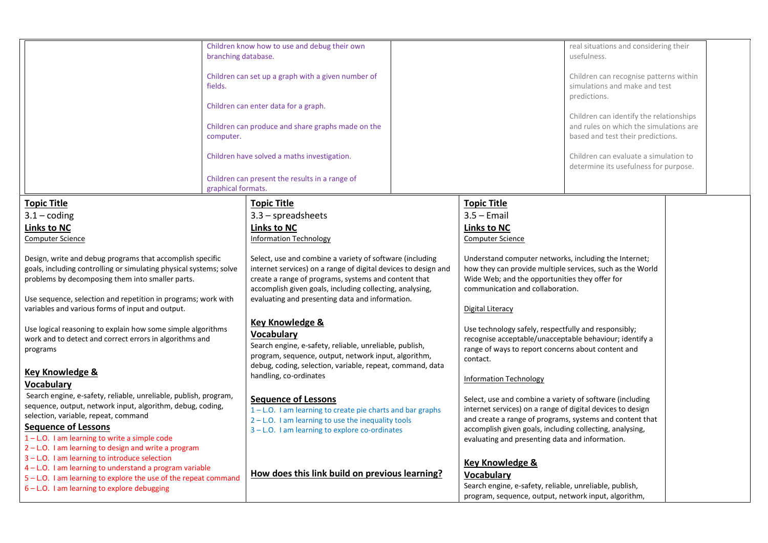|                                                                                                                                                                                                                                                                                                                                                                                                                                                                                                                                                                                                                                              | branching database.<br>fields.<br>computer. | Children know how to use and debug their own<br>Children can set up a graph with a given number of<br>Children can enter data for a graph.<br>Children can produce and share graphs made on the<br>Children have solved a maths investigation.                                                                                                                                                                                                                                                                                                                                                                                                               |                                                                                                                                                                                                                                                                                                                                                                                                                                                                                                                                            | real situations and considering their<br>usefulness.<br>Children can recognise patterns within<br>simulations and make and test<br>predictions.<br>Children can identify the relationships<br>and rules on which the simulations are<br>based and test their predictions.<br>Children can evaluate a simulation to |  |
|----------------------------------------------------------------------------------------------------------------------------------------------------------------------------------------------------------------------------------------------------------------------------------------------------------------------------------------------------------------------------------------------------------------------------------------------------------------------------------------------------------------------------------------------------------------------------------------------------------------------------------------------|---------------------------------------------|--------------------------------------------------------------------------------------------------------------------------------------------------------------------------------------------------------------------------------------------------------------------------------------------------------------------------------------------------------------------------------------------------------------------------------------------------------------------------------------------------------------------------------------------------------------------------------------------------------------------------------------------------------------|--------------------------------------------------------------------------------------------------------------------------------------------------------------------------------------------------------------------------------------------------------------------------------------------------------------------------------------------------------------------------------------------------------------------------------------------------------------------------------------------------------------------------------------------|--------------------------------------------------------------------------------------------------------------------------------------------------------------------------------------------------------------------------------------------------------------------------------------------------------------------|--|
|                                                                                                                                                                                                                                                                                                                                                                                                                                                                                                                                                                                                                                              | graphical formats.                          | Children can present the results in a range of                                                                                                                                                                                                                                                                                                                                                                                                                                                                                                                                                                                                               |                                                                                                                                                                                                                                                                                                                                                                                                                                                                                                                                            | determine its usefulness for purpose.                                                                                                                                                                                                                                                                              |  |
| <b>Topic Title</b><br>$3.1 - coding$<br><b>Links to NC</b><br><b>Computer Science</b><br>Design, write and debug programs that accomplish specific<br>goals, including controlling or simulating physical systems; solve<br>problems by decomposing them into smaller parts.<br>Use sequence, selection and repetition in programs; work with<br>variables and various forms of input and output.<br>Use logical reasoning to explain how some simple algorithms<br>work and to detect and correct errors in algorithms and<br>programs<br>Key Knowledge &<br>Vocabulary<br>Search engine, e-safety, reliable, unreliable, publish, program, |                                             | <b>Topic Title</b><br>$3.3$ – spreadsheets<br><b>Links to NC</b><br><b>Information Technology</b><br>Select, use and combine a variety of software (including<br>internet services) on a range of digital devices to design and<br>create a range of programs, systems and content that<br>accomplish given goals, including collecting, analysing,<br>evaluating and presenting data and information.<br><b>Key Knowledge &amp;</b><br>Vocabulary<br>Search engine, e-safety, reliable, unreliable, publish,<br>program, sequence, output, network input, algorithm,<br>debug, coding, selection, variable, repeat, command, data<br>handling, co-ordinates | <b>Topic Title</b><br>$3.5 -$ Email<br><b>Links to NC</b><br><b>Computer Science</b><br>Understand computer networks, including the Internet;<br>how they can provide multiple services, such as the World<br>Wide Web; and the opportunities they offer for<br>communication and collaboration.<br>Digital Literacy<br>Use technology safely, respectfully and responsibly;<br>recognise acceptable/unacceptable behaviour; identify a<br>range of ways to report concerns about content and<br>contact.<br><b>Information Technology</b> |                                                                                                                                                                                                                                                                                                                    |  |
| sequence, output, network input, algorithm, debug, coding,<br>selection, variable, repeat, command<br><b>Sequence of Lessons</b><br>1-L.O. I am learning to write a simple code<br>2-L.O. I am learning to design and write a program                                                                                                                                                                                                                                                                                                                                                                                                        |                                             | <b>Sequence of Lessons</b><br>1-L.O. I am learning to create pie charts and bar graphs<br>$2 - L.0$ . I am learning to use the inequality tools<br>3-L.O. I am learning to explore co-ordinates                                                                                                                                                                                                                                                                                                                                                                                                                                                              | Select, use and combine a variety of software (including<br>internet services) on a range of digital devices to design<br>and create a range of programs, systems and content that<br>accomplish given goals, including collecting, analysing,<br>evaluating and presenting data and information.                                                                                                                                                                                                                                          |                                                                                                                                                                                                                                                                                                                    |  |
| 3 - L.O. I am learning to introduce selection<br>4 - L.O. I am learning to understand a program variable<br>5 - L.O. I am learning to explore the use of the repeat command<br>6 - L.O. I am learning to explore debugging                                                                                                                                                                                                                                                                                                                                                                                                                   |                                             | How does this link build on previous learning?                                                                                                                                                                                                                                                                                                                                                                                                                                                                                                                                                                                                               | <b>Key Knowledge &amp;</b><br><b>Vocabulary</b><br>Search engine, e-safety, reliable, unreliable, publish,<br>program, sequence, output, network input, algorithm,                                                                                                                                                                                                                                                                                                                                                                         |                                                                                                                                                                                                                                                                                                                    |  |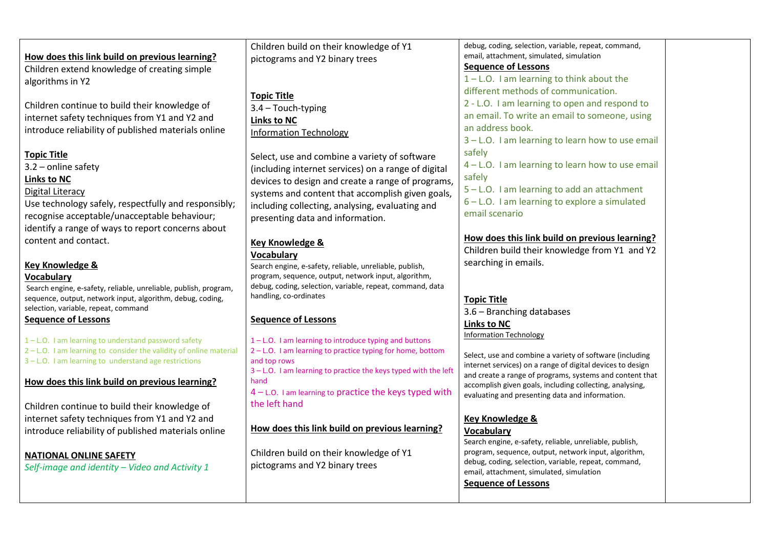|                                                                  | Children build on their knowledge of Y1                                       | debug, coding, selection, variable, repeat, command,       |
|------------------------------------------------------------------|-------------------------------------------------------------------------------|------------------------------------------------------------|
| How does this link build on previous learning?                   | pictograms and Y2 binary trees                                                | email, attachment, simulated, simulation                   |
| Children extend knowledge of creating simple                     |                                                                               | <b>Sequence of Lessons</b>                                 |
| algorithms in Y2                                                 |                                                                               | $1 - L.0$ . I am learning to think about the               |
|                                                                  | <b>Topic Title</b>                                                            | different methods of communication.                        |
| Children continue to build their knowledge of                    | 3.4 - Touch-typing                                                            | 2 - L.O. I am learning to open and respond to              |
| internet safety techniques from Y1 and Y2 and                    |                                                                               | an email. To write an email to someone, using              |
| introduce reliability of published materials online              | <b>Links to NC</b>                                                            | an address book.                                           |
|                                                                  | <b>Information Technology</b>                                                 | 3 - L.O. I am learning to learn how to use email           |
|                                                                  |                                                                               | safely                                                     |
| <b>Topic Title</b>                                               | Select, use and combine a variety of software                                 | 4 - L.O. I am learning to learn how to use email           |
| $3.2$ – online safety                                            | (including internet services) on a range of digital                           |                                                            |
| Links to NC                                                      | devices to design and create a range of programs,                             | safely                                                     |
| Digital Literacy                                                 | systems and content that accomplish given goals,                              | 5 - L.O. I am learning to add an attachment                |
| Use technology safely, respectfully and responsibly;             | including collecting, analysing, evaluating and                               | 6 - L.O. I am learning to explore a simulated              |
| recognise acceptable/unacceptable behaviour;                     | presenting data and information.                                              | email scenario                                             |
| identify a range of ways to report concerns about                |                                                                               |                                                            |
| content and contact.                                             | Key Knowledge &                                                               | How does this link build on previous learning?             |
|                                                                  | <b>Vocabulary</b>                                                             | Children build their knowledge from Y1 and Y2              |
| <b>Key Knowledge &amp;</b>                                       | Search engine, e-safety, reliable, unreliable, publish,                       | searching in emails.                                       |
| <b>Vocabulary</b>                                                | program, sequence, output, network input, algorithm,                          |                                                            |
| Search engine, e-safety, reliable, unreliable, publish, program, | debug, coding, selection, variable, repeat, command, data                     |                                                            |
| sequence, output, network input, algorithm, debug, coding,       | handling, co-ordinates                                                        | <b>Topic Title</b>                                         |
| selection, variable, repeat, command                             |                                                                               | 3.6 - Branching databases                                  |
| <b>Sequence of Lessons</b>                                       | <b>Sequence of Lessons</b>                                                    | <b>Links to NC</b>                                         |
|                                                                  |                                                                               | <b>Information Technology</b>                              |
| 1-L.O. I am learning to understand password safety               | 1-L.O. I am learning to introduce typing and buttons                          |                                                            |
| 2-L.O. I am learning to consider the validity of online material | 2-L.O. I am learning to practice typing for home, bottom                      | Select, use and combine a variety of software (including   |
| 3 - L.O. I am learning to understand age restrictions            | and top rows<br>3-L.O. I am learning to practice the keys typed with the left | internet services) on a range of digital devices to design |
| How does this link build on previous learning?                   | hand                                                                          | and create a range of programs, systems and content that   |
|                                                                  | $4 - L.$ O. I am learning to practice the keys typed with                     | accomplish given goals, including collecting, analysing,   |
|                                                                  | the left hand                                                                 | evaluating and presenting data and information.            |
| Children continue to build their knowledge of                    |                                                                               |                                                            |
| internet safety techniques from Y1 and Y2 and                    | How does this link build on previous learning?                                | <b>Key Knowledge &amp;</b>                                 |
| introduce reliability of published materials online              |                                                                               | <b>Vocabulary</b>                                          |
|                                                                  |                                                                               | Search engine, e-safety, reliable, unreliable, publish,    |
| <b>NATIONAL ONLINE SAFETY</b>                                    | Children build on their knowledge of Y1                                       | program, sequence, output, network input, algorithm,       |

pictograms and Y2 binary trees

Self-image and identity – Video and Activity 1

Sequence of Lessons

debug, coding, selection, variable, repeat, command,

email, attachment, simulated, simulation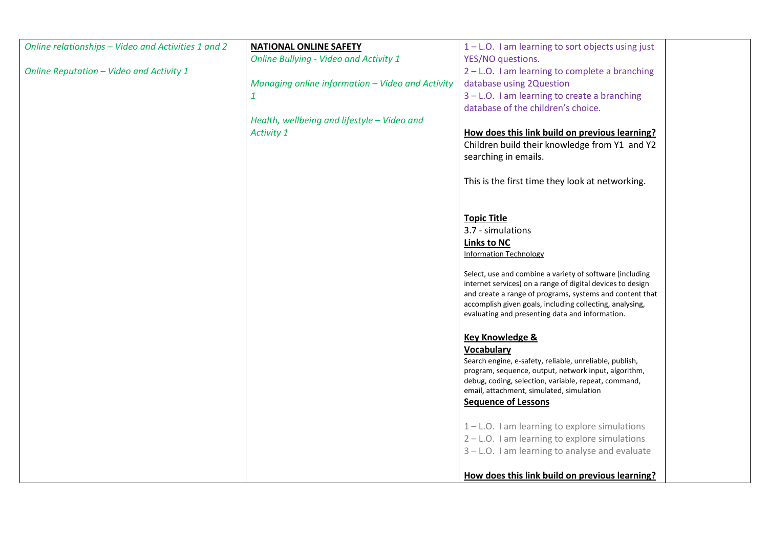| Online relationships - Video and Activities 1 and 2 | <b>NATIONAL ONLINE SAFETY</b>                    | $1 - L$ . I am learning to sort objects using just                                                                   |  |
|-----------------------------------------------------|--------------------------------------------------|----------------------------------------------------------------------------------------------------------------------|--|
|                                                     | <b>Online Bullying - Video and Activity 1</b>    | YES/NO questions.                                                                                                    |  |
| Online Reputation - Video and Activity 1            |                                                  | 2 - L.O. I am learning to complete a branching                                                                       |  |
|                                                     | Managing online information - Video and Activity | database using 2Question                                                                                             |  |
|                                                     | $\mathbf{1}$                                     | 3 - L.O. I am learning to create a branching                                                                         |  |
|                                                     |                                                  | database of the children's choice.                                                                                   |  |
|                                                     | Health, wellbeing and lifestyle - Video and      |                                                                                                                      |  |
|                                                     | Activity 1                                       | How does this link build on previous learning?                                                                       |  |
|                                                     |                                                  | Children build their knowledge from Y1 and Y2                                                                        |  |
|                                                     |                                                  | searching in emails.                                                                                                 |  |
|                                                     |                                                  |                                                                                                                      |  |
|                                                     |                                                  | This is the first time they look at networking.                                                                      |  |
|                                                     |                                                  |                                                                                                                      |  |
|                                                     |                                                  |                                                                                                                      |  |
|                                                     |                                                  | <b>Topic Title</b>                                                                                                   |  |
|                                                     |                                                  | 3.7 - simulations                                                                                                    |  |
|                                                     |                                                  | Links to NC                                                                                                          |  |
|                                                     |                                                  | <b>Information Technology</b>                                                                                        |  |
|                                                     |                                                  |                                                                                                                      |  |
|                                                     |                                                  | Select, use and combine a variety of software (including                                                             |  |
|                                                     |                                                  | internet services) on a range of digital devices to design                                                           |  |
|                                                     |                                                  | and create a range of programs, systems and content that<br>accomplish given goals, including collecting, analysing, |  |
|                                                     |                                                  | evaluating and presenting data and information.                                                                      |  |
|                                                     |                                                  |                                                                                                                      |  |
|                                                     |                                                  | <b>Key Knowledge &amp;</b>                                                                                           |  |
|                                                     |                                                  | Vocabulary                                                                                                           |  |
|                                                     |                                                  | Search engine, e-safety, reliable, unreliable, publish,                                                              |  |
|                                                     |                                                  | program, sequence, output, network input, algorithm,                                                                 |  |
|                                                     |                                                  | debug, coding, selection, variable, repeat, command,                                                                 |  |
|                                                     |                                                  | email, attachment, simulated, simulation                                                                             |  |
|                                                     |                                                  | <b>Sequence of Lessons</b>                                                                                           |  |
|                                                     |                                                  | $1 - L$ .O. I am learning to explore simulations                                                                     |  |
|                                                     |                                                  | 2 - L.O. I am learning to explore simulations                                                                        |  |
|                                                     |                                                  | 3 - L.O. I am learning to analyse and evaluate                                                                       |  |
|                                                     |                                                  |                                                                                                                      |  |
|                                                     |                                                  |                                                                                                                      |  |
|                                                     |                                                  | How does this link build on previous learning?                                                                       |  |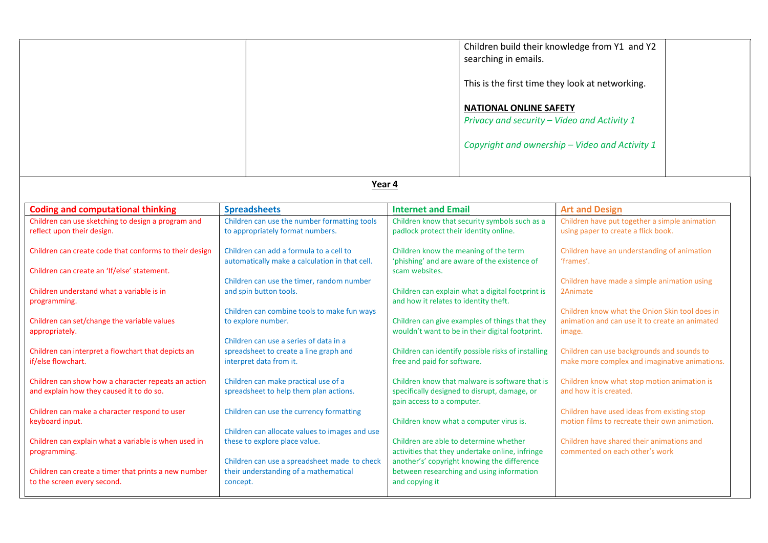|                                                                                                 |                                                                                                             |                                                                                                                              | searching in emails.<br><b>NATIONAL ONLINE SAFETY</b><br>Privacy and security - Video and Activity 1 | Children build their knowledge from Y1 and Y2<br>This is the first time they look at networking.<br>Copyright and ownership - Video and Activity 1 |
|-------------------------------------------------------------------------------------------------|-------------------------------------------------------------------------------------------------------------|------------------------------------------------------------------------------------------------------------------------------|------------------------------------------------------------------------------------------------------|----------------------------------------------------------------------------------------------------------------------------------------------------|
|                                                                                                 | Year 4                                                                                                      |                                                                                                                              |                                                                                                      |                                                                                                                                                    |
| <b>Coding and computational thinking</b>                                                        | <b>Spreadsheets</b>                                                                                         | <b>Internet and Email</b>                                                                                                    |                                                                                                      | <b>Art and Design</b>                                                                                                                              |
| Children can use sketching to design a program and<br>reflect upon their design.                | Children can use the number formatting tools<br>to appropriately format numbers.                            | padlock protect their identity online.                                                                                       | Children know that security symbols such as a                                                        | Children have put together a simple animation<br>using paper to create a flick book.                                                               |
| Children can create code that conforms to their design                                          | Children can add a formula to a cell to<br>automatically make a calculation in that cell.                   | Children know the meaning of the term                                                                                        | 'phishing' and are aware of the existence of                                                         | Children have an understanding of animation<br>'frames'.                                                                                           |
| Children can create an 'If/else' statement.                                                     | Children can use the timer, random number                                                                   | scam websites.                                                                                                               |                                                                                                      |                                                                                                                                                    |
| Children understand what a variable is in<br>programming.                                       | and spin button tools.                                                                                      | and how it relates to identity theft.                                                                                        | Children can explain what a digital footprint is                                                     | Children have made a simple animation using<br>2Animate                                                                                            |
| Children can set/change the variable values<br>appropriately.                                   | Children can combine tools to make fun ways<br>to explore number.                                           | Children can give examples of things that they<br>wouldn't want to be in their digital footprint.                            |                                                                                                      | Children know what the Onion Skin tool does in<br>animation and can use it to create an animated<br>image.                                         |
| Children can interpret a flowchart that depicts an<br>if/else flowchart.                        | Children can use a series of data in a<br>spreadsheet to create a line graph and<br>interpret data from it. | Children can identify possible risks of installing<br>free and paid for software.                                            |                                                                                                      | Children can use backgrounds and sounds to<br>make more complex and imaginative animations.                                                        |
| Children can show how a character repeats an action<br>and explain how they caused it to do so. | Children can make practical use of a<br>spreadsheet to help them plan actions.                              | Children know that malware is software that is<br>specifically designed to disrupt, damage, or<br>gain access to a computer. |                                                                                                      | Children know what stop motion animation is<br>and how it is created.                                                                              |
| Children can make a character respond to user<br>keyboard input.                                | Children can use the currency formatting<br>Children can allocate values to images and use                  | Children know what a computer virus is.                                                                                      |                                                                                                      | Children have used ideas from existing stop<br>motion films to recreate their own animation.                                                       |
| Children can explain what a variable is when used in<br>programming.                            | these to explore place value.<br>Children can use a spreadsheet made to check                               | Children are able to determine whether                                                                                       | activities that they undertake online, infringe<br>another's' copyright knowing the difference       | Children have shared their animations and<br>commented on each other's work                                                                        |
| Children can create a timer that prints a new number<br>to the screen every second.             | their understanding of a mathematical<br>concept.                                                           | and copying it                                                                                                               | between researching and using information                                                            |                                                                                                                                                    |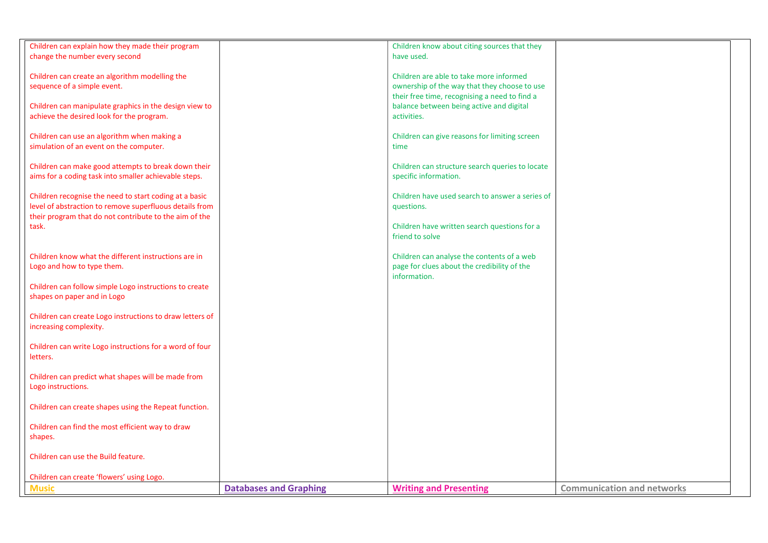| Children can explain how they made their program<br>change the number every second                                                                                          |                               | Children know about citing sources that they<br>have used.                                                                               |                                   |
|-----------------------------------------------------------------------------------------------------------------------------------------------------------------------------|-------------------------------|------------------------------------------------------------------------------------------------------------------------------------------|-----------------------------------|
| Children can create an algorithm modelling the<br>sequence of a simple event.                                                                                               |                               | Children are able to take more informed<br>ownership of the way that they choose to use<br>their free time, recognising a need to find a |                                   |
| Children can manipulate graphics in the design view to<br>achieve the desired look for the program.                                                                         |                               | balance between being active and digital<br>activities.                                                                                  |                                   |
| Children can use an algorithm when making a<br>simulation of an event on the computer.                                                                                      |                               | Children can give reasons for limiting screen<br>time                                                                                    |                                   |
| Children can make good attempts to break down their<br>aims for a coding task into smaller achievable steps.                                                                |                               | Children can structure search queries to locate<br>specific information.                                                                 |                                   |
| Children recognise the need to start coding at a basic<br>level of abstraction to remove superfluous details from<br>their program that do not contribute to the aim of the |                               | Children have used search to answer a series of<br>questions.                                                                            |                                   |
| task.                                                                                                                                                                       |                               | Children have written search questions for a<br>friend to solve                                                                          |                                   |
| Children know what the different instructions are in<br>Logo and how to type them.                                                                                          |                               | Children can analyse the contents of a web<br>page for clues about the credibility of the<br>information.                                |                                   |
| Children can follow simple Logo instructions to create<br>shapes on paper and in Logo                                                                                       |                               |                                                                                                                                          |                                   |
| Children can create Logo instructions to draw letters of<br>increasing complexity.                                                                                          |                               |                                                                                                                                          |                                   |
| Children can write Logo instructions for a word of four<br>letters.                                                                                                         |                               |                                                                                                                                          |                                   |
| Children can predict what shapes will be made from<br>Logo instructions.                                                                                                    |                               |                                                                                                                                          |                                   |
| Children can create shapes using the Repeat function.                                                                                                                       |                               |                                                                                                                                          |                                   |
| Children can find the most efficient way to draw<br>shapes.                                                                                                                 |                               |                                                                                                                                          |                                   |
| Children can use the Build feature.                                                                                                                                         |                               |                                                                                                                                          |                                   |
| Children can create 'flowers' using Logo.                                                                                                                                   |                               |                                                                                                                                          |                                   |
| <b>Music</b>                                                                                                                                                                | <b>Databases and Graphing</b> | <b>Writing and Presenting</b>                                                                                                            | <b>Communication and networks</b> |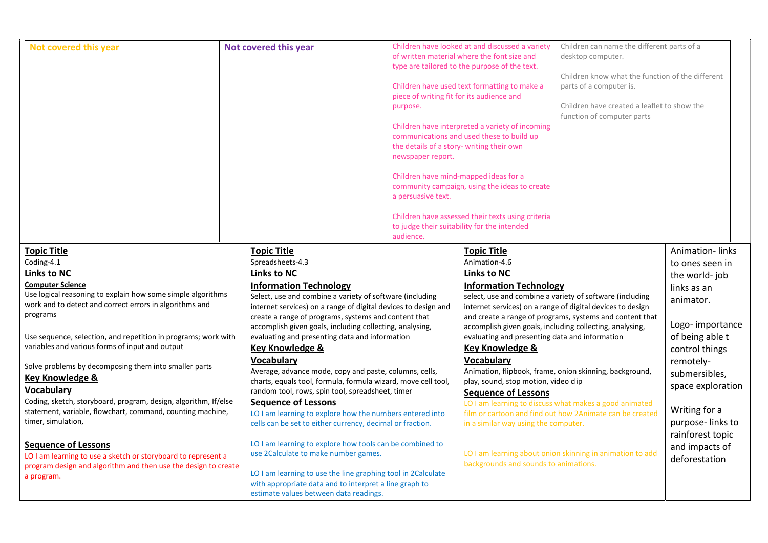| Not covered this year                                                                                             |  | Not covered this year                                          | piece of writing fit for its audience and<br>purpose.<br>the details of a story- writing their own<br>newspaper report. | Children have looked at and discussed a variety<br>of written material where the font size and<br>type are tailored to the purpose of the text.<br>Children have used text formatting to make a<br>Children have interpreted a variety of incoming<br>communications and used these to build up<br>Children have mind-mapped ideas for a<br>community campaign, using the ideas to create | Children can name the different parts of a<br>desktop computer.<br>Children know what the function of the different<br>parts of a computer is.<br>Children have created a leaflet to show the<br>function of computer parts |                              |
|-------------------------------------------------------------------------------------------------------------------|--|----------------------------------------------------------------|-------------------------------------------------------------------------------------------------------------------------|-------------------------------------------------------------------------------------------------------------------------------------------------------------------------------------------------------------------------------------------------------------------------------------------------------------------------------------------------------------------------------------------|-----------------------------------------------------------------------------------------------------------------------------------------------------------------------------------------------------------------------------|------------------------------|
|                                                                                                                   |  |                                                                | a persuasive text.<br>audience.                                                                                         | Children have assessed their texts using criteria<br>to judge their suitability for the intended                                                                                                                                                                                                                                                                                          |                                                                                                                                                                                                                             |                              |
| <b>Topic Title</b><br>Coding-4.1                                                                                  |  | <b>Topic Title</b><br>Spreadsheets-4.3                         |                                                                                                                         | <b>Topic Title</b><br>Animation-4.6                                                                                                                                                                                                                                                                                                                                                       |                                                                                                                                                                                                                             | <b>Animation-links</b>       |
| <b>Links to NC</b>                                                                                                |  | <b>Links to NC</b>                                             |                                                                                                                         | Links to NC                                                                                                                                                                                                                                                                                                                                                                               |                                                                                                                                                                                                                             | to ones seen in              |
| <b>Computer Science</b>                                                                                           |  | <b>Information Technology</b>                                  |                                                                                                                         | <b>Information Technology</b>                                                                                                                                                                                                                                                                                                                                                             |                                                                                                                                                                                                                             | the world-job<br>links as an |
| Use logical reasoning to explain how some simple algorithms                                                       |  | Select, use and combine a variety of software (including       |                                                                                                                         | select, use and combine a variety of software (including<br>internet services) on a range of digital devices to design                                                                                                                                                                                                                                                                    |                                                                                                                                                                                                                             |                              |
| work and to detect and correct errors in algorithms and                                                           |  | internet services) on a range of digital devices to design and |                                                                                                                         |                                                                                                                                                                                                                                                                                                                                                                                           |                                                                                                                                                                                                                             | animator.                    |
| programs                                                                                                          |  | create a range of programs, systems and content that           |                                                                                                                         |                                                                                                                                                                                                                                                                                                                                                                                           | and create a range of programs, systems and content that                                                                                                                                                                    |                              |
|                                                                                                                   |  | accomplish given goals, including collecting, analysing,       |                                                                                                                         | accomplish given goals, including collecting, analysing,                                                                                                                                                                                                                                                                                                                                  |                                                                                                                                                                                                                             | Logo-importance              |
| Use sequence, selection, and repetition in programs; work with<br>variables and various forms of input and output |  | evaluating and presenting data and information                 |                                                                                                                         | evaluating and presenting data and information                                                                                                                                                                                                                                                                                                                                            |                                                                                                                                                                                                                             | of being able t              |
|                                                                                                                   |  | Key Knowledge &<br><b>Vocabulary</b>                           |                                                                                                                         | <b>Key Knowledge &amp;</b><br>Vocabulary                                                                                                                                                                                                                                                                                                                                                  |                                                                                                                                                                                                                             | control things               |
| Solve problems by decomposing them into smaller parts                                                             |  | Average, advance mode, copy and paste, columns, cells,         |                                                                                                                         | Animation, flipbook, frame, onion skinning, background,                                                                                                                                                                                                                                                                                                                                   |                                                                                                                                                                                                                             | remotely-                    |
| <b>Key Knowledge &amp;</b>                                                                                        |  | charts, equals tool, formula, formula wizard, move cell tool,  |                                                                                                                         | play, sound, stop motion, video clip                                                                                                                                                                                                                                                                                                                                                      |                                                                                                                                                                                                                             | submersibles,                |
| <b>Vocabulary</b>                                                                                                 |  | random tool, rows, spin tool, spreadsheet, timer               |                                                                                                                         | <b>Sequence of Lessons</b>                                                                                                                                                                                                                                                                                                                                                                |                                                                                                                                                                                                                             | space exploration            |
| Coding, sketch, storyboard, program, design, algorithm, If/else                                                   |  | <b>Sequence of Lessons</b>                                     |                                                                                                                         |                                                                                                                                                                                                                                                                                                                                                                                           | LO I am learning to discuss what makes a good animated                                                                                                                                                                      |                              |
| statement, variable, flowchart, command, counting machine,                                                        |  | LO I am learning to explore how the numbers entered into       |                                                                                                                         |                                                                                                                                                                                                                                                                                                                                                                                           | film or cartoon and find out how 2Animate can be created                                                                                                                                                                    | Writing for a                |
| timer, simulation,                                                                                                |  | cells can be set to either currency, decimal or fraction.      |                                                                                                                         | in a similar way using the computer.                                                                                                                                                                                                                                                                                                                                                      |                                                                                                                                                                                                                             | purpose-links to             |
| <b>Sequence of Lessons</b>                                                                                        |  | LO I am learning to explore how tools can be combined to       |                                                                                                                         |                                                                                                                                                                                                                                                                                                                                                                                           |                                                                                                                                                                                                                             | rainforest topic             |
| LO I am learning to use a sketch or storyboard to represent a                                                     |  | use 2Calculate to make number games.                           |                                                                                                                         |                                                                                                                                                                                                                                                                                                                                                                                           | LO I am learning about onion skinning in animation to add                                                                                                                                                                   | and impacts of               |
| program design and algorithm and then use the design to create                                                    |  |                                                                |                                                                                                                         | backgrounds and sounds to animations.                                                                                                                                                                                                                                                                                                                                                     |                                                                                                                                                                                                                             | deforestation                |
| a program.                                                                                                        |  | LO I am learning to use the line graphing tool in 2Calculate   |                                                                                                                         |                                                                                                                                                                                                                                                                                                                                                                                           |                                                                                                                                                                                                                             |                              |
|                                                                                                                   |  | with appropriate data and to interpret a line graph to         |                                                                                                                         |                                                                                                                                                                                                                                                                                                                                                                                           |                                                                                                                                                                                                                             |                              |
|                                                                                                                   |  | estimate values between data readings.                         |                                                                                                                         |                                                                                                                                                                                                                                                                                                                                                                                           |                                                                                                                                                                                                                             |                              |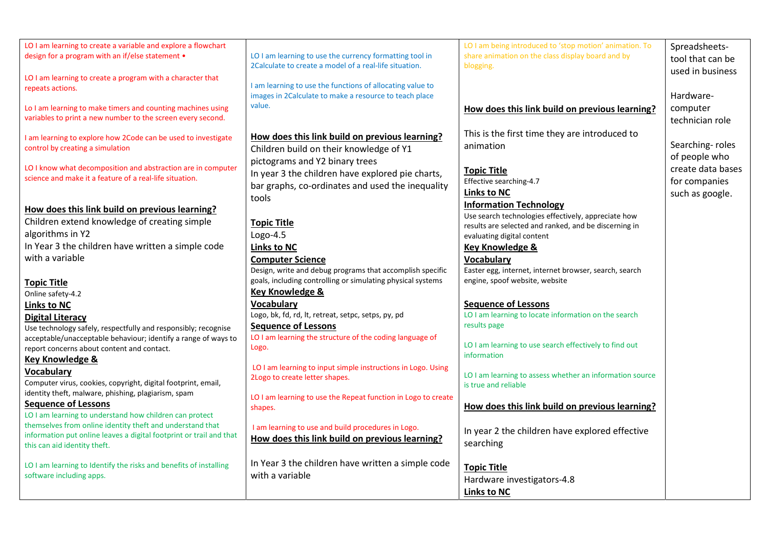| LO I am learning to create a variable and explore a flowchart<br>design for a program with an if/else statement .                                                | LO I am learning to use the currency formatting tool in<br>2Calculate to create a model of a real-life situation.                               | LO I am being introduced to 'stop motion' animation. To<br>share animation on the class display board and by<br>blogging. | Spreadsheets-<br>tool that can be<br>used in business |
|------------------------------------------------------------------------------------------------------------------------------------------------------------------|-------------------------------------------------------------------------------------------------------------------------------------------------|---------------------------------------------------------------------------------------------------------------------------|-------------------------------------------------------|
| LO I am learning to create a program with a character that<br>repeats actions.                                                                                   | I am learning to use the functions of allocating value to<br>images in 2Calculate to make a resource to teach place                             |                                                                                                                           | Hardware-                                             |
| Lo I am learning to make timers and counting machines using<br>variables to print a new number to the screen every second.                                       | value.                                                                                                                                          | How does this link build on previous learning?                                                                            | computer<br>technician role                           |
| I am learning to explore how 2Code can be used to investigate<br>control by creating a simulation                                                                | How does this link build on previous learning?<br>Children build on their knowledge of Y1                                                       | This is the first time they are introduced to<br>animation                                                                | Searching-roles<br>of people who                      |
| LO I know what decomposition and abstraction are in computer<br>science and make it a feature of a real-life situation.                                          | pictograms and Y2 binary trees<br>In year 3 the children have explored pie charts,<br>bar graphs, co-ordinates and used the inequality<br>tools | <b>Topic Title</b><br>Effective searching-4.7<br><b>Links to NC</b>                                                       | create data bases<br>for companies<br>such as google. |
| How does this link build on previous learning?<br>Children extend knowledge of creating simple                                                                   | <b>Topic Title</b>                                                                                                                              | <b>Information Technology</b><br>Use search technologies effectively, appreciate how                                      |                                                       |
| algorithms in Y2                                                                                                                                                 | $Logo-4.5$                                                                                                                                      | results are selected and ranked, and be discerning in<br>evaluating digital content                                       |                                                       |
| In Year 3 the children have written a simple code<br>with a variable                                                                                             | <b>Links to NC</b><br><b>Computer Science</b>                                                                                                   | <b>Key Knowledge &amp;</b><br>Vocabulary                                                                                  |                                                       |
| <b>Topic Title</b>                                                                                                                                               | Design, write and debug programs that accomplish specific<br>goals, including controlling or simulating physical systems<br>Key Knowledge &     | Easter egg, internet, internet browser, search, search<br>engine, spoof website, website                                  |                                                       |
| Online safety-4.2<br><b>Links to NC</b>                                                                                                                          | Vocabulary                                                                                                                                      | <b>Sequence of Lessons</b>                                                                                                |                                                       |
| <b>Digital Literacy</b><br>Use technology safely, respectfully and responsibly; recognise                                                                        | Logo, bk, fd, rd, lt, retreat, setpc, setps, py, pd<br><b>Sequence of Lessons</b><br>LO I am learning the structure of the coding language of   | LO I am learning to locate information on the search<br>results page                                                      |                                                       |
| acceptable/unacceptable behaviour; identify a range of ways to<br>report concerns about content and contact.<br>Key Knowledge &                                  | Logo.                                                                                                                                           | LO I am learning to use search effectively to find out<br>information                                                     |                                                       |
| <b>Vocabulary</b><br>Computer virus, cookies, copyright, digital footprint, email,                                                                               | LO I am learning to input simple instructions in Logo. Using<br>2Logo to create letter shapes.                                                  | LO I am learning to assess whether an information source<br>is true and reliable                                          |                                                       |
| identity theft, malware, phishing, plagiarism, spam<br><b>Sequence of Lessons</b><br>LO I am learning to understand how children can protect                     | LO I am learning to use the Repeat function in Logo to create<br>shapes.                                                                        | How does this link build on previous learning?                                                                            |                                                       |
| themselves from online identity theft and understand that<br>information put online leaves a digital footprint or trail and that<br>this can aid identity theft. | I am learning to use and build procedures in Logo.<br>How does this link build on previous learning?                                            | In year 2 the children have explored effective<br>searching                                                               |                                                       |
| LO I am learning to Identify the risks and benefits of installing<br>software including apps.                                                                    | In Year 3 the children have written a simple code<br>with a variable                                                                            | <b>Topic Title</b><br>Hardware investigators-4.8<br><b>Links to NC</b>                                                    |                                                       |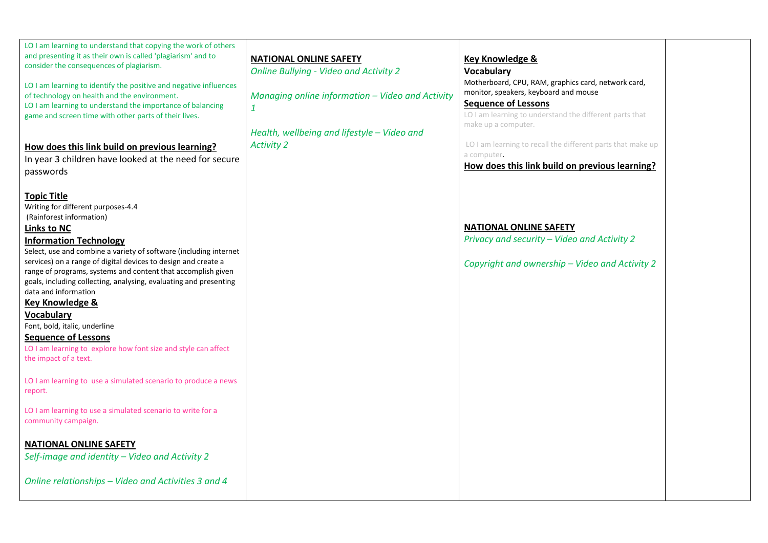| LO I am learning to understand that copying the work of others<br>and presenting it as their own is called 'plagiarism' and to<br>consider the consequences of plagiarism.<br>LO I am learning to identify the positive and negative influences<br>of technology on health and the environment.<br>LO I am learning to understand the importance of balancing<br>game and screen time with other parts of their lives.<br>How does this link build on previous learning?<br>In year 3 children have looked at the need for secure<br>passwords                                                                                                                                                                                                                                                                                                                                                                                                          | <b>NATIONAL ONLINE SAFETY</b><br><b>Online Bullying - Video and Activity 2</b><br>Managing online information - Video and Activity<br>$\mathbf{1}$<br>Health, wellbeing and lifestyle - Video and<br><b>Activity 2</b> | Key Knowledge &<br>Vocabulary<br>Motherboard, CPU, RAM, graphics card, network card,<br>monitor, speakers, keyboard and mouse<br><b>Sequence of Lessons</b><br>LO I am learning to understand the different parts that<br>make up a computer.<br>LO I am learning to recall the different parts that make up<br>a computer.<br>How does this link build on previous learning? |  |
|---------------------------------------------------------------------------------------------------------------------------------------------------------------------------------------------------------------------------------------------------------------------------------------------------------------------------------------------------------------------------------------------------------------------------------------------------------------------------------------------------------------------------------------------------------------------------------------------------------------------------------------------------------------------------------------------------------------------------------------------------------------------------------------------------------------------------------------------------------------------------------------------------------------------------------------------------------|------------------------------------------------------------------------------------------------------------------------------------------------------------------------------------------------------------------------|-------------------------------------------------------------------------------------------------------------------------------------------------------------------------------------------------------------------------------------------------------------------------------------------------------------------------------------------------------------------------------|--|
| <b>Topic Title</b><br>Writing for different purposes-4.4<br>(Rainforest information)<br>Links to NC<br><b>Information Technology</b><br>Select, use and combine a variety of software (including internet<br>services) on a range of digital devices to design and create a<br>range of programs, systems and content that accomplish given<br>goals, including collecting, analysing, evaluating and presenting<br>data and information<br>Key Knowledge &<br><b>Vocabulary</b><br>Font, bold, italic, underline<br><b>Sequence of Lessons</b><br>LO I am learning to explore how font size and style can affect<br>the impact of a text.<br>LO I am learning to use a simulated scenario to produce a news<br>report.<br>LO I am learning to use a simulated scenario to write for a<br>community campaign.<br><b>NATIONAL ONLINE SAFETY</b><br>Self-image and identity - Video and Activity 2<br>Online relationships - Video and Activities 3 and 4 |                                                                                                                                                                                                                        | <b>NATIONAL ONLINE SAFETY</b><br>Privacy and security - Video and Activity 2<br>Copyright and ownership - Video and Activity 2                                                                                                                                                                                                                                                |  |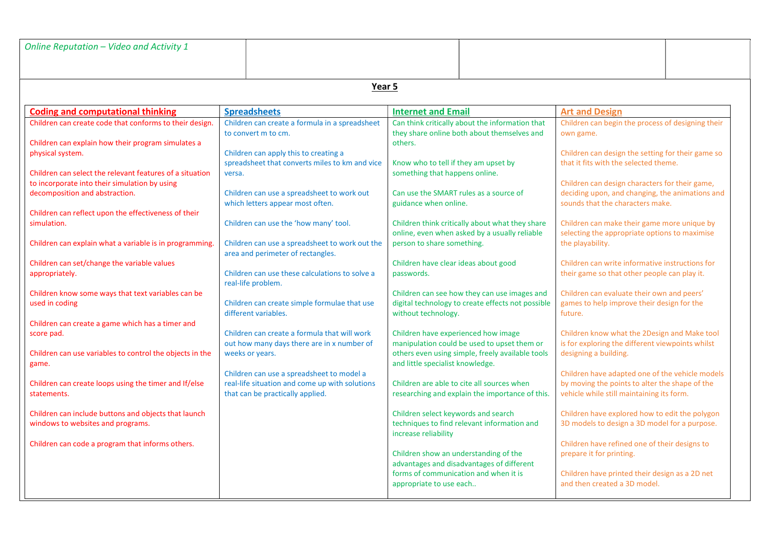| Online Reputation - Video and Activity 1                                                                                                |                                                                                                                                 |                                                                                                                                        |                                                                                                                                                |  |  |  |  |
|-----------------------------------------------------------------------------------------------------------------------------------------|---------------------------------------------------------------------------------------------------------------------------------|----------------------------------------------------------------------------------------------------------------------------------------|------------------------------------------------------------------------------------------------------------------------------------------------|--|--|--|--|
|                                                                                                                                         |                                                                                                                                 |                                                                                                                                        |                                                                                                                                                |  |  |  |  |
|                                                                                                                                         | Year 5                                                                                                                          |                                                                                                                                        |                                                                                                                                                |  |  |  |  |
| <b>Coding and computational thinking</b>                                                                                                | <b>Spreadsheets</b>                                                                                                             | <b>Internet and Email</b>                                                                                                              | <b>Art and Design</b>                                                                                                                          |  |  |  |  |
| Children can create code that conforms to their design.<br>Children can explain how their program simulates a                           | Children can create a formula in a spreadsheet<br>to convert m to cm.                                                           | Can think critically about the information that<br>they share online both about themselves and<br>others.                              | Children can begin the process of designing their<br>own game.                                                                                 |  |  |  |  |
| physical system.<br>Children can select the relevant features of a situation                                                            | Children can apply this to creating a<br>spreadsheet that converts miles to km and vice<br>versa.                               | Know who to tell if they am upset by<br>something that happens online.                                                                 | Children can design the setting for their game so<br>that it fits with the selected theme.                                                     |  |  |  |  |
| to incorporate into their simulation by using<br>decomposition and abstraction.<br>Children can reflect upon the effectiveness of their | Children can use a spreadsheet to work out<br>which letters appear most often.                                                  | Can use the SMART rules as a source of<br>guidance when online.                                                                        | Children can design characters for their game,<br>deciding upon, and changing, the animations and<br>sounds that the characters make.          |  |  |  |  |
| simulation.                                                                                                                             | Children can use the 'how many' tool.                                                                                           | Children think critically about what they share<br>online, even when asked by a usually reliable                                       | Children can make their game more unique by<br>selecting the appropriate options to maximise                                                   |  |  |  |  |
| Children can explain what a variable is in programming.<br>Children can set/change the variable values                                  | Children can use a spreadsheet to work out the<br>area and perimeter of rectangles.                                             | person to share something.<br>Children have clear ideas about good                                                                     | the playability.<br>Children can write informative instructions for                                                                            |  |  |  |  |
| appropriately.                                                                                                                          | Children can use these calculations to solve a<br>real-life problem.                                                            | passwords.                                                                                                                             | their game so that other people can play it.                                                                                                   |  |  |  |  |
| Children know some ways that text variables can be<br>used in coding                                                                    | Children can create simple formulae that use<br>different variables.                                                            | Children can see how they can use images and<br>digital technology to create effects not possible<br>without technology.               | Children can evaluate their own and peers'<br>games to help improve their design for the<br>future.                                            |  |  |  |  |
| Children can create a game which has a timer and<br>score pad.<br>Children can use variables to control the objects in the              | Children can create a formula that will work<br>out how many days there are in x number of<br>weeks or years.                   | Children have experienced how image<br>manipulation could be used to upset them or<br>others even using simple, freely available tools | Children know what the 2Design and Make tool<br>is for exploring the different viewpoints whilst<br>designing a building.                      |  |  |  |  |
| game.<br>Children can create loops using the timer and If/else<br>statements.                                                           | Children can use a spreadsheet to model a<br>real-life situation and come up with solutions<br>that can be practically applied. | and little specialist knowledge.<br>Children are able to cite all sources when<br>researching and explain the importance of this.      | Children have adapted one of the vehicle models<br>by moving the points to alter the shape of the<br>vehicle while still maintaining its form. |  |  |  |  |
| Children can include buttons and objects that launch<br>windows to websites and programs.                                               |                                                                                                                                 | Children select keywords and search<br>techniques to find relevant information and<br>increase reliability                             | Children have explored how to edit the polygon<br>3D models to design a 3D model for a purpose.                                                |  |  |  |  |
| Children can code a program that informs others.                                                                                        |                                                                                                                                 | Children show an understanding of the<br>advantages and disadvantages of different                                                     | Children have refined one of their designs to<br>prepare it for printing.                                                                      |  |  |  |  |
|                                                                                                                                         |                                                                                                                                 | forms of communication and when it is<br>appropriate to use each                                                                       | Children have printed their design as a 2D net<br>and then created a 3D model.                                                                 |  |  |  |  |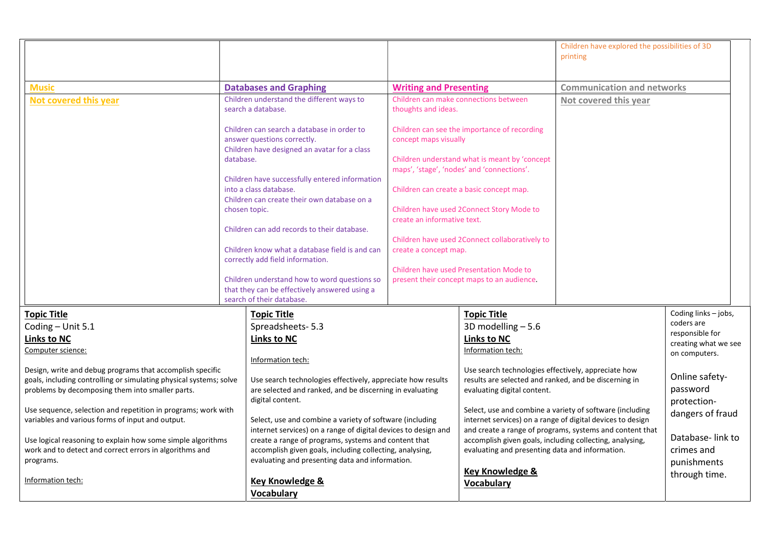|                                                                                                                                 |           |                                                                                                                            |                               |                                                                                                              | Children have explored the possibilities of 3D<br>printing                                                             |                                       |
|---------------------------------------------------------------------------------------------------------------------------------|-----------|----------------------------------------------------------------------------------------------------------------------------|-------------------------------|--------------------------------------------------------------------------------------------------------------|------------------------------------------------------------------------------------------------------------------------|---------------------------------------|
| <b>Music</b>                                                                                                                    |           | <b>Databases and Graphing</b>                                                                                              | <b>Writing and Presenting</b> |                                                                                                              | <b>Communication and networks</b>                                                                                      |                                       |
| Not covered this year                                                                                                           |           | Children understand the different ways to<br>search a database.                                                            | thoughts and ideas.           | Children can make connections between                                                                        | Not covered this year                                                                                                  |                                       |
|                                                                                                                                 |           | Children can search a database in order to<br>answer questions correctly.<br>Children have designed an avatar for a class  | concept maps visually         | Children can see the importance of recording                                                                 |                                                                                                                        |                                       |
|                                                                                                                                 | database. |                                                                                                                            |                               | Children understand what is meant by 'concept<br>maps', 'stage', 'nodes' and 'connections'.                  |                                                                                                                        |                                       |
|                                                                                                                                 |           | Children have successfully entered information<br>into a class database.<br>Children can create their own database on a    |                               | Children can create a basic concept map.                                                                     |                                                                                                                        |                                       |
|                                                                                                                                 |           | chosen topic.                                                                                                              | create an informative text.   | Children have used 2Connect Story Mode to                                                                    |                                                                                                                        |                                       |
|                                                                                                                                 |           | Children can add records to their database.                                                                                |                               | Children have used 2Connect collaboratively to                                                               |                                                                                                                        |                                       |
|                                                                                                                                 |           | Children know what a database field is and can<br>correctly add field information.                                         | create a concept map.         | Children have used Presentation Mode to                                                                      |                                                                                                                        |                                       |
|                                                                                                                                 |           | Children understand how to word questions so<br>that they can be effectively answered using a                              |                               | present their concept maps to an audience.                                                                   |                                                                                                                        |                                       |
| <b>Topic Title</b>                                                                                                              |           | search of their database.<br><b>Topic Title</b>                                                                            |                               | <b>Topic Title</b>                                                                                           |                                                                                                                        | Coding links - jobs,                  |
| Coding - Unit 5.1                                                                                                               |           | Spreadsheets- 5.3                                                                                                          |                               | 3D modelling $-5.6$                                                                                          |                                                                                                                        | coders are                            |
| <b>Links to NC</b>                                                                                                              |           | <b>Links to NC</b>                                                                                                         |                               | <b>Links to NC</b>                                                                                           |                                                                                                                        | responsible for                       |
| Computer science:                                                                                                               |           |                                                                                                                            |                               | Information tech:                                                                                            |                                                                                                                        | creating what we see<br>on computers. |
|                                                                                                                                 |           | Information tech:                                                                                                          |                               |                                                                                                              |                                                                                                                        |                                       |
| Design, write and debug programs that accomplish specific<br>goals, including controlling or simulating physical systems; solve |           | Use search technologies effectively, appreciate how results                                                                |                               | Use search technologies effectively, appreciate how<br>results are selected and ranked, and be discerning in |                                                                                                                        | Online safety-                        |
| problems by decomposing them into smaller parts.                                                                                |           | are selected and ranked, and be discerning in evaluating<br>digital content.                                               |                               | evaluating digital content.                                                                                  |                                                                                                                        | password<br>protection-               |
| Use sequence, selection and repetition in programs; work with                                                                   |           |                                                                                                                            |                               |                                                                                                              | Select, use and combine a variety of software (including                                                               | dangers of fraud                      |
| variables and various forms of input and output.                                                                                |           | Select, use and combine a variety of software (including<br>internet services) on a range of digital devices to design and |                               |                                                                                                              | internet services) on a range of digital devices to design<br>and create a range of programs, systems and content that |                                       |
| Use logical reasoning to explain how some simple algorithms                                                                     |           | create a range of programs, systems and content that                                                                       |                               | accomplish given goals, including collecting, analysing,                                                     |                                                                                                                        | Database-link to                      |
| work and to detect and correct errors in algorithms and                                                                         |           | accomplish given goals, including collecting, analysing,                                                                   |                               | evaluating and presenting data and information.                                                              |                                                                                                                        | crimes and                            |
| programs.                                                                                                                       |           | evaluating and presenting data and information.                                                                            |                               | <b>Key Knowledge &amp;</b>                                                                                   |                                                                                                                        | punishments                           |
| Information tech:                                                                                                               |           | <b>Key Knowledge &amp;</b><br><b>Vocabulary</b>                                                                            |                               | <b>Vocabulary</b>                                                                                            |                                                                                                                        | through time.                         |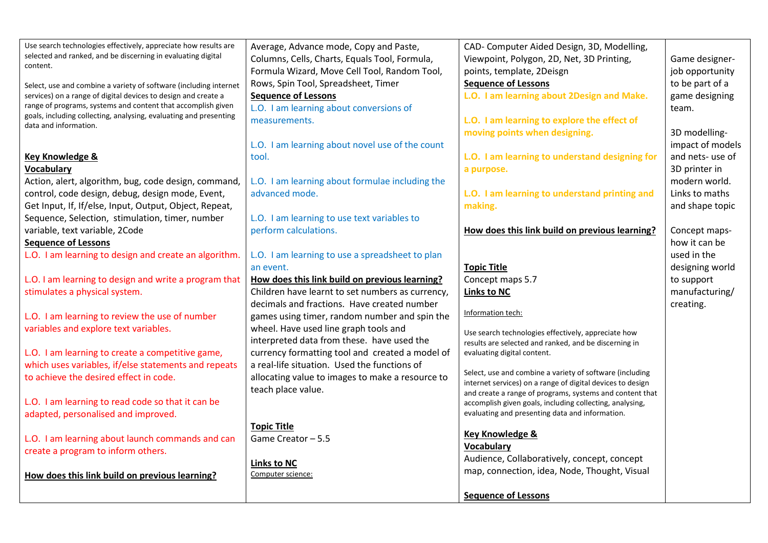| Use search technologies effectively, appreciate how results are                            | Average, Advance mode, Copy and Paste,           | CAD- Computer Aided Design, 3D, Modelling,                                                                             |                  |
|--------------------------------------------------------------------------------------------|--------------------------------------------------|------------------------------------------------------------------------------------------------------------------------|------------------|
| selected and ranked, and be discerning in evaluating digital<br>content.                   | Columns, Cells, Charts, Equals Tool, Formula,    | Viewpoint, Polygon, 2D, Net, 3D Printing,                                                                              | Game designer-   |
|                                                                                            | Formula Wizard, Move Cell Tool, Random Tool,     | points, template, 2Deisgn                                                                                              | job opportunity  |
| Select, use and combine a variety of software (including internet                          | Rows, Spin Tool, Spreadsheet, Timer              | <b>Sequence of Lessons</b>                                                                                             | to be part of a  |
| services) on a range of digital devices to design and create a                             | <b>Sequence of Lessons</b>                       | L.O. I am learning about 2Design and Make.                                                                             | game designing   |
| range of programs, systems and content that accomplish given                               | L.O. I am learning about conversions of          |                                                                                                                        | team.            |
| goals, including collecting, analysing, evaluating and presenting<br>data and information. | measurements.                                    | L.O. I am learning to explore the effect of                                                                            |                  |
|                                                                                            |                                                  | moving points when designing.                                                                                          | 3D modelling-    |
|                                                                                            | L.O. I am learning about novel use of the count  |                                                                                                                        | impact of models |
| <b>Key Knowledge &amp;</b>                                                                 | tool.                                            | L.O. I am learning to understand designing for                                                                         | and nets- use of |
| Vocabulary                                                                                 |                                                  | a purpose.                                                                                                             | 3D printer in    |
| Action, alert, algorithm, bug, code design, command,                                       | L.O. I am learning about formulae including the  |                                                                                                                        | modern world.    |
| control, code design, debug, design mode, Event,                                           | advanced mode.                                   | L.O. I am learning to understand printing and                                                                          | Links to maths   |
| Get Input, If, If/else, Input, Output, Object, Repeat,                                     |                                                  | making.                                                                                                                | and shape topic  |
| Sequence, Selection, stimulation, timer, number                                            | L.O. I am learning to use text variables to      |                                                                                                                        |                  |
| variable, text variable, 2Code                                                             | perform calculations.                            | How does this link build on previous learning?                                                                         | Concept maps-    |
| <b>Sequence of Lessons</b>                                                                 |                                                  |                                                                                                                        | how it can be    |
| L.O. I am learning to design and create an algorithm.                                      | L.O. I am learning to use a spreadsheet to plan  |                                                                                                                        | used in the      |
|                                                                                            | an event.                                        | <b>Topic Title</b>                                                                                                     | designing world  |
| L.O. I am learning to design and write a program that                                      | How does this link build on previous learning?   | Concept maps 5.7                                                                                                       | to support       |
| stimulates a physical system.                                                              | Children have learnt to set numbers as currency, | <b>Links to NC</b>                                                                                                     | manufacturing/   |
|                                                                                            | decimals and fractions. Have created number      |                                                                                                                        | creating.        |
| L.O. I am learning to review the use of number                                             | games using timer, random number and spin the    | Information tech:                                                                                                      |                  |
| variables and explore text variables.                                                      | wheel. Have used line graph tools and            | Use search technologies effectively, appreciate how                                                                    |                  |
|                                                                                            | interpreted data from these. have used the       | results are selected and ranked, and be discerning in                                                                  |                  |
| L.O. I am learning to create a competitive game,                                           | currency formatting tool and created a model of  | evaluating digital content.                                                                                            |                  |
| which uses variables, if/else statements and repeats                                       | a real-life situation. Used the functions of     |                                                                                                                        |                  |
| to achieve the desired effect in code.                                                     | allocating value to images to make a resource to | Select, use and combine a variety of software (including<br>internet services) on a range of digital devices to design |                  |
|                                                                                            | teach place value.                               | and create a range of programs, systems and content that                                                               |                  |
| L.O. I am learning to read code so that it can be                                          |                                                  | accomplish given goals, including collecting, analysing,                                                               |                  |
| adapted, personalised and improved.                                                        |                                                  | evaluating and presenting data and information.                                                                        |                  |
|                                                                                            | <b>Topic Title</b>                               |                                                                                                                        |                  |
| L.O. I am learning about launch commands and can                                           | Game Creator - 5.5                               | <b>Key Knowledge &amp;</b><br><b>Vocabulary</b>                                                                        |                  |
| create a program to inform others.                                                         |                                                  | Audience, Collaboratively, concept, concept                                                                            |                  |
|                                                                                            | <b>Links to NC</b>                               |                                                                                                                        |                  |
| How does this link build on previous learning?                                             | Computer science:                                | map, connection, idea, Node, Thought, Visual                                                                           |                  |
|                                                                                            |                                                  | <b>Sequence of Lessons</b>                                                                                             |                  |
|                                                                                            |                                                  |                                                                                                                        |                  |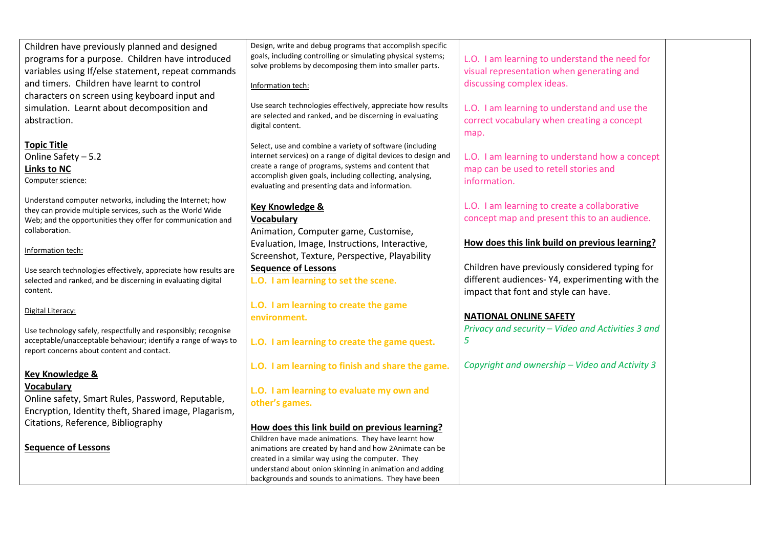| Children have previously planned and designed                   | Design, write and debug programs that accomplish specific                                                                  |                                                   |
|-----------------------------------------------------------------|----------------------------------------------------------------------------------------------------------------------------|---------------------------------------------------|
| programs for a purpose. Children have introduced                | goals, including controlling or simulating physical systems;                                                               | L.O. I am learning to understand the need for     |
| variables using If/else statement, repeat commands              | solve problems by decomposing them into smaller parts.                                                                     | visual representation when generating and         |
| and timers. Children have learnt to control                     | Information tech:                                                                                                          | discussing complex ideas.                         |
| characters on screen using keyboard input and                   |                                                                                                                            |                                                   |
| simulation. Learnt about decomposition and                      | Use search technologies effectively, appreciate how results                                                                | L.O. I am learning to understand and use the      |
| abstraction.                                                    | are selected and ranked, and be discerning in evaluating                                                                   | correct vocabulary when creating a concept        |
|                                                                 | digital content.                                                                                                           |                                                   |
| <b>Topic Title</b>                                              |                                                                                                                            | map.                                              |
|                                                                 | Select, use and combine a variety of software (including<br>internet services) on a range of digital devices to design and |                                                   |
| Online Safety - 5.2                                             | create a range of programs, systems and content that                                                                       | L.O. I am learning to understand how a concept    |
| <b>Links to NC</b>                                              | accomplish given goals, including collecting, analysing,                                                                   | map can be used to retell stories and             |
| Computer science:                                               | evaluating and presenting data and information.                                                                            | information.                                      |
| Understand computer networks, including the Internet; how       |                                                                                                                            |                                                   |
| they can provide multiple services, such as the World Wide      | <b>Key Knowledge &amp;</b>                                                                                                 | L.O. I am learning to create a collaborative      |
| Web; and the opportunities they offer for communication and     | <b>Vocabulary</b>                                                                                                          | concept map and present this to an audience.      |
| collaboration.                                                  | Animation, Computer game, Customise,                                                                                       |                                                   |
| Information tech:                                               | Evaluation, Image, Instructions, Interactive,                                                                              | How does this link build on previous learning?    |
|                                                                 | Screenshot, Texture, Perspective, Playability                                                                              |                                                   |
| Use search technologies effectively, appreciate how results are | <b>Sequence of Lessons</b>                                                                                                 | Children have previously considered typing for    |
| selected and ranked, and be discerning in evaluating digital    | L.O. I am learning to set the scene.                                                                                       | different audiences-Y4, experimenting with the    |
| content.                                                        |                                                                                                                            | impact that font and style can have.              |
| Digital Literacy:                                               | L.O. I am learning to create the game                                                                                      |                                                   |
|                                                                 | environment.                                                                                                               | <b>NATIONAL ONLINE SAFETY</b>                     |
| Use technology safely, respectfully and responsibly; recognise  |                                                                                                                            | Privacy and security - Video and Activities 3 and |
| acceptable/unacceptable behaviour; identify a range of ways to  | L.O. I am learning to create the game quest.                                                                               | 5                                                 |
| report concerns about content and contact.                      |                                                                                                                            |                                                   |
|                                                                 | L.O. I am learning to finish and share the game.                                                                           | Copyright and ownership - Video and Activity 3    |
| <b>Key Knowledge &amp;</b>                                      |                                                                                                                            |                                                   |
| <b>Vocabulary</b>                                               | L.O. I am learning to evaluate my own and                                                                                  |                                                   |
| Online safety, Smart Rules, Password, Reputable,                | other's games.                                                                                                             |                                                   |
| Encryption, Identity theft, Shared image, Plagarism,            |                                                                                                                            |                                                   |
| Citations, Reference, Bibliography                              | How does this link build on previous learning?                                                                             |                                                   |
|                                                                 | Children have made animations. They have learnt how                                                                        |                                                   |
| <b>Sequence of Lessons</b>                                      | animations are created by hand and how 2Animate can be                                                                     |                                                   |
|                                                                 | created in a similar way using the computer. They                                                                          |                                                   |
|                                                                 | understand about onion skinning in animation and adding                                                                    |                                                   |
|                                                                 | backgrounds and sounds to animations. They have been                                                                       |                                                   |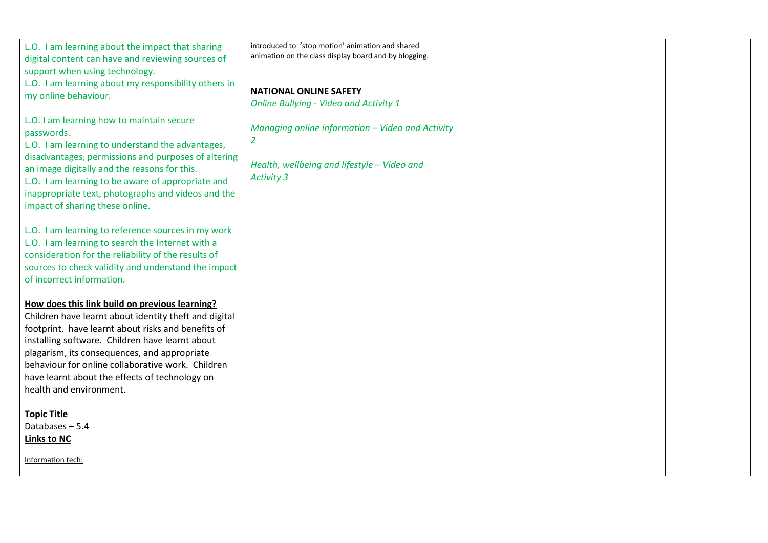| L.O. I am learning about the impact that sharing<br>digital content can have and reviewing sources of<br>support when using technology.                                                                                                           | introduced to 'stop motion' animation and shared<br>animation on the class display board and by blogging. |  |
|---------------------------------------------------------------------------------------------------------------------------------------------------------------------------------------------------------------------------------------------------|-----------------------------------------------------------------------------------------------------------|--|
| L.O. I am learning about my responsibility others in<br>my online behaviour.                                                                                                                                                                      | <b>NATIONAL ONLINE SAFETY</b><br><b>Online Bullying - Video and Activity 1</b>                            |  |
| L.O. I am learning how to maintain secure<br>passwords.<br>L.O. I am learning to understand the advantages,                                                                                                                                       | Managing online information - Video and Activity<br>2                                                     |  |
| disadvantages, permissions and purposes of altering<br>an image digitally and the reasons for this.<br>L.O. I am learning to be aware of appropriate and<br>inappropriate text, photographs and videos and the<br>impact of sharing these online. | Health, wellbeing and lifestyle - Video and<br><b>Activity 3</b>                                          |  |
| L.O. I am learning to reference sources in my work<br>L.O. I am learning to search the Internet with a<br>consideration for the reliability of the results of<br>sources to check validity and understand the impact<br>of incorrect information. |                                                                                                           |  |
| How does this link build on previous learning?<br>Children have learnt about identity theft and digital<br>footprint. have learnt about risks and benefits of                                                                                     |                                                                                                           |  |
| installing software. Children have learnt about<br>plagarism, its consequences, and appropriate<br>behaviour for online collaborative work. Children                                                                                              |                                                                                                           |  |
| have learnt about the effects of technology on<br>health and environment.                                                                                                                                                                         |                                                                                                           |  |
| <b>Topic Title</b><br>Databases - 5.4<br><b>Links to NC</b>                                                                                                                                                                                       |                                                                                                           |  |
| Information tech:                                                                                                                                                                                                                                 |                                                                                                           |  |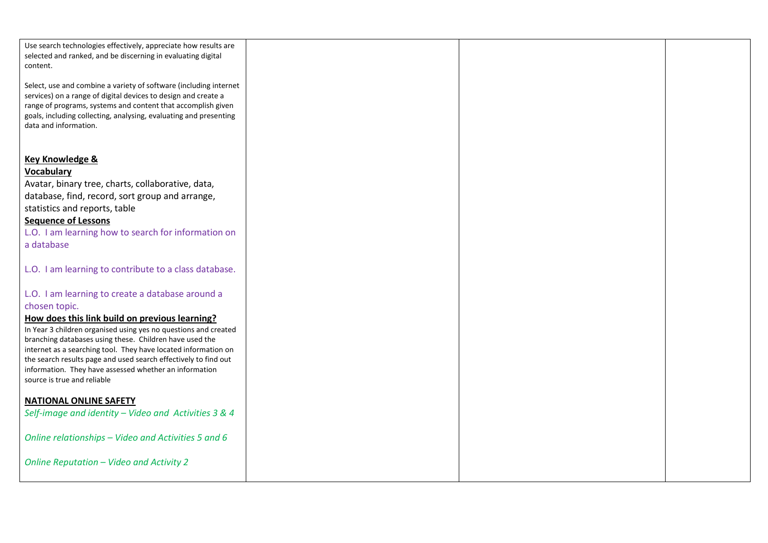| Use search technologies effectively, appreciate how results are<br>selected and ranked, and be discerning in evaluating digital<br>content.<br>Select, use and combine a variety of software (including internet<br>services) on a range of digital devices to design and create a<br>range of programs, systems and content that accomplish given<br>goals, including collecting, analysing, evaluating and presenting<br>data and information.                                                                                         |  |  |
|------------------------------------------------------------------------------------------------------------------------------------------------------------------------------------------------------------------------------------------------------------------------------------------------------------------------------------------------------------------------------------------------------------------------------------------------------------------------------------------------------------------------------------------|--|--|
| Key Knowledge &<br><b>Vocabulary</b><br>Avatar, binary tree, charts, collaborative, data,<br>database, find, record, sort group and arrange,<br>statistics and reports, table<br><b>Sequence of Lessons</b><br>L.O. I am learning how to search for information on<br>a database                                                                                                                                                                                                                                                         |  |  |
| L.O. I am learning to contribute to a class database.<br>L.O. I am learning to create a database around a<br>chosen topic.<br>How does this link build on previous learning?<br>In Year 3 children organised using yes no questions and created<br>branching databases using these. Children have used the<br>internet as a searching tool. They have located information on<br>the search results page and used search effectively to find out<br>information. They have assessed whether an information<br>source is true and reliable |  |  |
| <b>NATIONAL ONLINE SAFETY</b><br>Self-image and identity - Video and Activities 3 & 4<br>Online relationships - Video and Activities 5 and 6<br>Online Reputation - Video and Activity 2                                                                                                                                                                                                                                                                                                                                                 |  |  |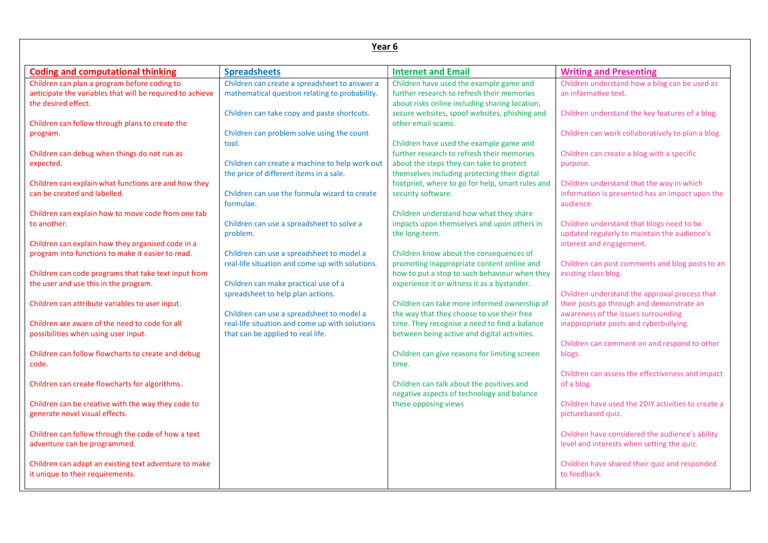| Year 6                                                                                                                           |                                                                                                 |                                                                                                                                               |                                                                                                      |  |  |
|----------------------------------------------------------------------------------------------------------------------------------|-------------------------------------------------------------------------------------------------|-----------------------------------------------------------------------------------------------------------------------------------------------|------------------------------------------------------------------------------------------------------|--|--|
| <b>Coding and computational thinking</b>                                                                                         | <b>Spreadsheets</b>                                                                             | <b>Internet and Email</b>                                                                                                                     | <b>Writing and Presenting</b>                                                                        |  |  |
| Children can plan a program before coding to<br>anticipate the variables that will be required to achieve<br>the desired effect. | Children can create a spreadsheet to answer a<br>mathematical question relating to probability. | Children have used the example game and<br>further research to refresh their memories<br>about risks online including sharing location,       | Children understand how a blog can be used as<br>an informative text.                                |  |  |
| Children can follow through plans to create the<br>program.                                                                      | Children can take copy and paste shortcuts.<br>Children can problem solve using the count       | secure websites, spoof websites, phishing and<br>other email scams.                                                                           | Children understand the key features of a blog.<br>Children can work collaboratively to plan a blog. |  |  |
| Children can debug when things do not run as                                                                                     | tool.                                                                                           | Children have used the example game and<br>further research to refresh their memories                                                         | Children can create a blog with a specific                                                           |  |  |
| expected.<br>Children can explain what functions are and how they                                                                | Children can create a machine to help work out<br>the price of different items in a sale.       | about the steps they can take to protect<br>themselves including protecting their digital<br>footprint, where to go for help, smart rules and | purpose.<br>Children understand that the way in which                                                |  |  |
| can be created and labelled.<br>Children can explain how to move code from one tab                                               | Children can use the formula wizard to create<br>formulae.                                      | security software.<br>Children understand how what they share                                                                                 | information is presented has an impact upon the<br>audience.                                         |  |  |
| to another.                                                                                                                      | Children can use a spreadsheet to solve a<br>problem.                                           | impacts upon themselves and upon others in<br>the long-term.                                                                                  | Children understand that blogs need to be<br>updated regularly to maintain the audience's            |  |  |
| Children can explain how they organised code in a<br>program into functions to make it easier to read.                           | Children can use a spreadsheet to model a<br>real-life situation and come up with solutions.    | Children know about the consequences of<br>promoting inappropriate content online and                                                         | interest and engagement.<br>Children can post comments and blog posts to an                          |  |  |
| Children can code programs that take text input from<br>the user and use this in the program.                                    | Children can make practical use of a<br>spreadsheet to help plan actions.                       | how to put a stop to such behaviour when they<br>experience it or witness it as a bystander.                                                  | existing class blog.<br>Children understand the approval process that                                |  |  |
| Children can attribute variables to user input.                                                                                  | Children can use a spreadsheet to model a                                                       | Children can take more informed ownership of<br>the way that they choose to use their free                                                    | their posts go through and demonstrate an<br>awareness of the issues surrounding                     |  |  |
| Children are aware of the need to code for all<br>possibilities when using user input.                                           | real-life situation and come up with solutions<br>that can be applied to real life.             | time. They recognise a need to find a balance<br>between being active and digital activities.                                                 | inappropriate posts and cyberbullying.<br>Children can comment on and respond to other               |  |  |
| Children can follow flowcharts to create and debug<br>code.                                                                      |                                                                                                 | Children can give reasons for limiting screen<br>time.                                                                                        | blogs.<br>Children can assess the effectiveness and impact                                           |  |  |
| Children can create flowcharts for algorithms.                                                                                   |                                                                                                 | Children can talk about the positives and<br>negative aspects of technology and balance                                                       | of a blog.                                                                                           |  |  |
| Children can be creative with the way they code to<br>generate novel visual effects.                                             |                                                                                                 | these opposing views                                                                                                                          | Children have used the 2DIY activities to create a<br>picturebased quiz.                             |  |  |
| Children can follow through the code of how a text<br>adventure can be programmed.                                               |                                                                                                 |                                                                                                                                               | Children have considered the audience's ability<br>level and interests when setting the quiz.        |  |  |
| Children can adapt an existing text adventure to make<br>it unique to their requirements.                                        |                                                                                                 |                                                                                                                                               | Children have shared their quiz and responded<br>to feedback.                                        |  |  |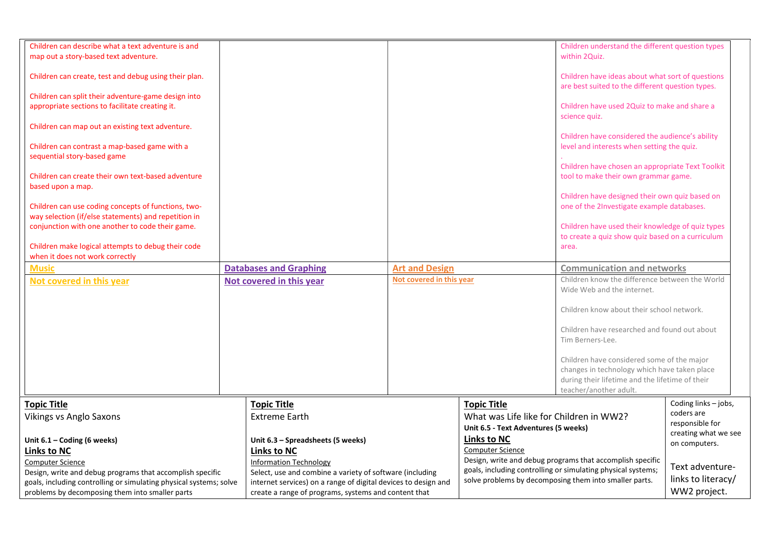| Children can describe what a text adventure is and<br>map out a story-based text adventure.<br>Children can create, test and debug using their plan.<br>Children can split their adventure-game design into<br>appropriate sections to facilitate creating it.<br>Children can map out an existing text adventure.<br>Children can contrast a map-based game with a<br>sequential story-based game<br>Children can create their own text-based adventure<br>based upon a map.<br>Children can use coding concepts of functions, two-<br>way selection (if/else statements) and repetition in<br>conjunction with one another to code their game.<br>Children make logical attempts to debug their code<br>when it does not work correctly<br><b>Music</b><br>Not covered in this year | <b>Databases and Graphing</b><br>Not covered in this year      | <b>Art and Design</b><br>Not covered in this year |                                                                                                       | Children understand the different question types<br>within 2Quiz.<br>Children have ideas about what sort of questions<br>are best suited to the different question types.<br>Children have used 2Quiz to make and share a<br>science quiz.<br>Children have considered the audience's ability<br>level and interests when setting the quiz.<br>Children have chosen an appropriate Text Toolkit<br>tool to make their own grammar game.<br>Children have designed their own quiz based on<br>one of the 2Investigate example databases.<br>Children have used their knowledge of quiz types<br>to create a quiz show quiz based on a curriculum<br>area.<br><b>Communication and networks</b><br>Children know the difference between the World<br>Wide Web and the internet.<br>Children know about their school network.<br>Children have researched and found out about |                                                                               |  |
|---------------------------------------------------------------------------------------------------------------------------------------------------------------------------------------------------------------------------------------------------------------------------------------------------------------------------------------------------------------------------------------------------------------------------------------------------------------------------------------------------------------------------------------------------------------------------------------------------------------------------------------------------------------------------------------------------------------------------------------------------------------------------------------|----------------------------------------------------------------|---------------------------------------------------|-------------------------------------------------------------------------------------------------------|----------------------------------------------------------------------------------------------------------------------------------------------------------------------------------------------------------------------------------------------------------------------------------------------------------------------------------------------------------------------------------------------------------------------------------------------------------------------------------------------------------------------------------------------------------------------------------------------------------------------------------------------------------------------------------------------------------------------------------------------------------------------------------------------------------------------------------------------------------------------------|-------------------------------------------------------------------------------|--|
|                                                                                                                                                                                                                                                                                                                                                                                                                                                                                                                                                                                                                                                                                                                                                                                       |                                                                |                                                   |                                                                                                       | Tim Berners-Lee.<br>Children have considered some of the major<br>changes in technology which have taken place<br>during their lifetime and the lifetime of their                                                                                                                                                                                                                                                                                                                                                                                                                                                                                                                                                                                                                                                                                                          |                                                                               |  |
|                                                                                                                                                                                                                                                                                                                                                                                                                                                                                                                                                                                                                                                                                                                                                                                       |                                                                |                                                   |                                                                                                       | teacher/another adult.                                                                                                                                                                                                                                                                                                                                                                                                                                                                                                                                                                                                                                                                                                                                                                                                                                                     |                                                                               |  |
| <b>Topic Title</b><br><b>Vikings vs Anglo Saxons</b>                                                                                                                                                                                                                                                                                                                                                                                                                                                                                                                                                                                                                                                                                                                                  | <b>Topic Title</b><br><b>Extreme Earth</b>                     |                                                   | <b>Topic Title</b><br>What was Life like for Children in WW2?<br>Unit 6.5 - Text Adventures (5 weeks) |                                                                                                                                                                                                                                                                                                                                                                                                                                                                                                                                                                                                                                                                                                                                                                                                                                                                            | Coding links - jobs,<br>coders are<br>responsible for<br>creating what we see |  |
| Unit 6.1 - Coding (6 weeks)                                                                                                                                                                                                                                                                                                                                                                                                                                                                                                                                                                                                                                                                                                                                                           | Unit 6.3 - Spreadsheets (5 weeks)                              |                                                   | <b>Links to NC</b>                                                                                    |                                                                                                                                                                                                                                                                                                                                                                                                                                                                                                                                                                                                                                                                                                                                                                                                                                                                            | on computers.                                                                 |  |
| <b>Links to NC</b>                                                                                                                                                                                                                                                                                                                                                                                                                                                                                                                                                                                                                                                                                                                                                                    | <b>Links to NC</b>                                             |                                                   | <b>Computer Science</b>                                                                               |                                                                                                                                                                                                                                                                                                                                                                                                                                                                                                                                                                                                                                                                                                                                                                                                                                                                            |                                                                               |  |
| <b>Computer Science</b>                                                                                                                                                                                                                                                                                                                                                                                                                                                                                                                                                                                                                                                                                                                                                               | <b>Information Technology</b>                                  |                                                   |                                                                                                       | Design, write and debug programs that accomplish specific<br>goals, including controlling or simulating physical systems;                                                                                                                                                                                                                                                                                                                                                                                                                                                                                                                                                                                                                                                                                                                                                  | Text adventure-                                                               |  |
| Design, write and debug programs that accomplish specific                                                                                                                                                                                                                                                                                                                                                                                                                                                                                                                                                                                                                                                                                                                             | Select, use and combine a variety of software (including       |                                                   |                                                                                                       | solve problems by decomposing them into smaller parts.                                                                                                                                                                                                                                                                                                                                                                                                                                                                                                                                                                                                                                                                                                                                                                                                                     | links to literacy/                                                            |  |
| goals, including controlling or simulating physical systems; solve                                                                                                                                                                                                                                                                                                                                                                                                                                                                                                                                                                                                                                                                                                                    | internet services) on a range of digital devices to design and |                                                   |                                                                                                       |                                                                                                                                                                                                                                                                                                                                                                                                                                                                                                                                                                                                                                                                                                                                                                                                                                                                            | WW2 project.                                                                  |  |
| problems by decomposing them into smaller parts                                                                                                                                                                                                                                                                                                                                                                                                                                                                                                                                                                                                                                                                                                                                       | create a range of programs, systems and content that           |                                                   |                                                                                                       |                                                                                                                                                                                                                                                                                                                                                                                                                                                                                                                                                                                                                                                                                                                                                                                                                                                                            |                                                                               |  |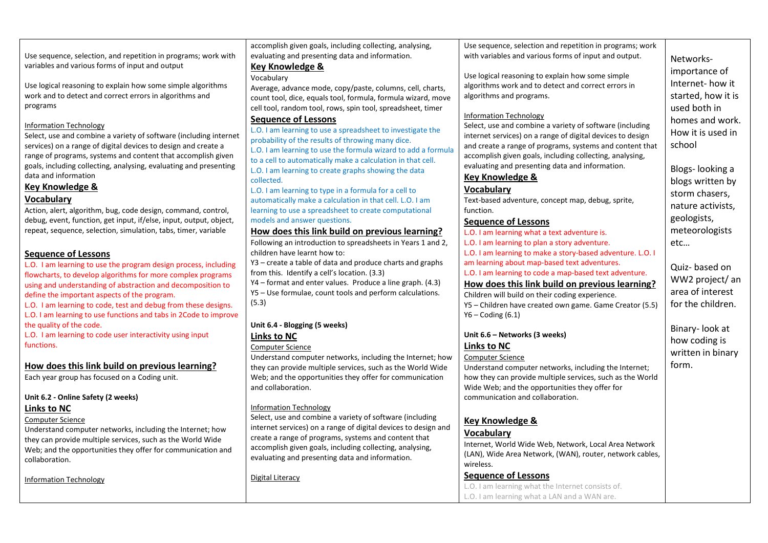|                                                                    | accomplish given goals, including collecting, analysing,       | Use sequence, selection and repetition in programs; work   |                    |
|--------------------------------------------------------------------|----------------------------------------------------------------|------------------------------------------------------------|--------------------|
| Use sequence, selection, and repetition in programs; work with     | evaluating and presenting data and information.                | with variables and various forms of input and output.      | Networks-          |
| variables and various forms of input and output                    | <b>Key Knowledge &amp;</b>                                     |                                                            | importance of      |
|                                                                    | Vocabulary                                                     | Use logical reasoning to explain how some simple           |                    |
| Use logical reasoning to explain how some simple algorithms        | Average, advance mode, copy/paste, columns, cell, charts,      | algorithms work and to detect and correct errors in        | Internet-how it    |
| work and to detect and correct errors in algorithms and            | count tool, dice, equals tool, formula, formula wizard, move   | algorithms and programs.                                   | started, how it is |
| programs                                                           | cell tool, random tool, rows, spin tool, spreadsheet, timer    |                                                            | used both in       |
|                                                                    | <b>Sequence of Lessons</b>                                     | <b>Information Technology</b>                              | homes and work.    |
| <b>Information Technology</b>                                      | L.O. I am learning to use a spreadsheet to investigate the     | Select, use and combine a variety of software (including   | How it is used in  |
| Select, use and combine a variety of software (including internet  | probability of the results of throwing many dice.              | internet services) on a range of digital devices to design |                    |
| services) on a range of digital devices to design and create a     | L.O. I am learning to use the formula wizard to add a formula  | and create a range of programs, systems and content that   | school             |
| range of programs, systems and content that accomplish given       | to a cell to automatically make a calculation in that cell.    | accomplish given goals, including collecting, analysing,   |                    |
| goals, including collecting, analysing, evaluating and presenting  | L.O. I am learning to create graphs showing the data           | evaluating and presenting data and information.            | Blogs-looking a    |
| data and information                                               | collected.                                                     | <b>Key Knowledge &amp;</b>                                 | blogs written by   |
| Key Knowledge &                                                    | L.O. I am learning to type in a formula for a cell to          | Vocabulary                                                 | storm chasers,     |
| <b>Vocabulary</b>                                                  | automatically make a calculation in that cell. L.O. I am       | Text-based adventure, concept map, debug, sprite,          |                    |
| Action, alert, algorithm, bug, code design, command, control,      | learning to use a spreadsheet to create computational          | function.                                                  | nature activists,  |
| debug, event, function, get input, if/else, input, output, object, | models and answer questions.                                   | <b>Sequence of Lessons</b>                                 | geologists,        |
| repeat, sequence, selection, simulation, tabs, timer, variable     | How does this link build on previous learning?                 | L.O. I am learning what a text adventure is.               | meteorologists     |
|                                                                    | Following an introduction to spreadsheets in Years 1 and 2,    | L.O. I am learning to plan a story adventure.              | etc                |
| <b>Sequence of Lessons</b>                                         | children have learnt how to:                                   | L.O. I am learning to make a story-based adventure. L.O. I |                    |
| L.O. I am learning to use the program design process, including    | Y3 – create a table of data and produce charts and graphs      | am learning about map-based text adventures.               | Quiz-based on      |
| flowcharts, to develop algorithms for more complex programs        | from this. Identify a cell's location. (3.3)                   | L.O. I am learning to code a map-based text adventure.     |                    |
| using and understanding of abstraction and decomposition to        | Y4 – format and enter values. Produce a line graph. (4.3)      | How does this link build on previous learning?             | WW2 project/ an    |
| define the important aspects of the program.                       | Y5 - Use formulae, count tools and perform calculations.       | Children will build on their coding experience.            | area of interest   |
| L.O. I am learning to code, test and debug from these designs.     | (5.3)                                                          | Y5 - Children have created own game. Game Creator (5.5)    | for the children.  |
| L.O. I am learning to use functions and tabs in 2Code to improve   |                                                                | $Y6 - Coding (6.1)$                                        |                    |
| the quality of the code.                                           | Unit 6.4 - Blogging (5 weeks)                                  |                                                            | Binary-look at     |
| L.O. I am learning to code user interactivity using input          | <b>Links to NC</b>                                             | Unit 6.6 - Networks (3 weeks)                              | how coding is      |
| functions.                                                         | <b>Computer Science</b>                                        | <b>Links to NC</b>                                         |                    |
|                                                                    | Understand computer networks, including the Internet; how      | <b>Computer Science</b>                                    | written in binary  |
| How does this link build on previous learning?                     | they can provide multiple services, such as the World Wide     | Understand computer networks, including the Internet;      | form.              |
| Each year group has focused on a Coding unit.                      | Web; and the opportunities they offer for communication        | how they can provide multiple services, such as the World  |                    |
|                                                                    | and collaboration.                                             | Wide Web; and the opportunities they offer for             |                    |
| Unit 6.2 - Online Safety (2 weeks)                                 |                                                                | communication and collaboration.                           |                    |
| Links to NC                                                        | <b>Information Technology</b>                                  |                                                            |                    |
| <b>Computer Science</b>                                            | Select, use and combine a variety of software (including       | <b>Key Knowledge &amp;</b>                                 |                    |
| Understand computer networks, including the Internet; how          | internet services) on a range of digital devices to design and | Vocabulary                                                 |                    |
| they can provide multiple services, such as the World Wide         | create a range of programs, systems and content that           | Internet, World Wide Web, Network, Local Area Network      |                    |
| Web; and the opportunities they offer for communication and        | accomplish given goals, including collecting, analysing,       | (LAN), Wide Area Network, (WAN), router, network cables,   |                    |
| collaboration.                                                     | evaluating and presenting data and information.                | wireless.                                                  |                    |
|                                                                    |                                                                | <b>Sequence of Lessons</b>                                 |                    |
| <b>Information Technology</b>                                      | Digital Literacy                                               | L.O. I am learning what the Internet consists of.          |                    |
|                                                                    |                                                                | L.O. I am learning what a LAN and a WAN are.               |                    |
|                                                                    |                                                                |                                                            |                    |
|                                                                    |                                                                |                                                            |                    |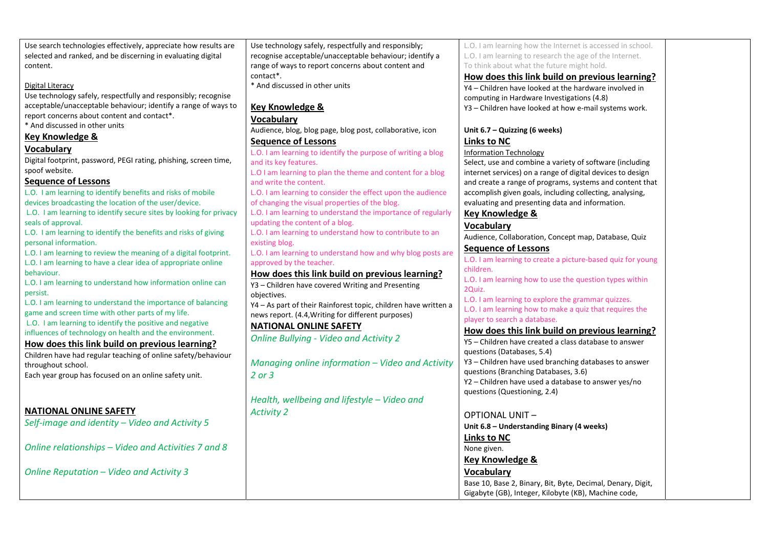| Use technology safely, respectfully and responsibly;<br>recognise acceptable/unacceptable behaviour; identify a<br>selected and ranked, and be discerning in evaluating digital<br>L.O. I am learning to research the age of the Internet. |  |
|--------------------------------------------------------------------------------------------------------------------------------------------------------------------------------------------------------------------------------------------|--|
|                                                                                                                                                                                                                                            |  |
| range of ways to report concerns about content and<br>To think about what the future might hold.<br>content.                                                                                                                               |  |
| contact*.<br>How does this link build on previous learning?                                                                                                                                                                                |  |
| * And discussed in other units<br>Digital Literacy<br>Y4 - Children have looked at the hardware involved in                                                                                                                                |  |
| Use technology safely, respectfully and responsibly; recognise<br>computing in Hardware Investigations (4.8)                                                                                                                               |  |
| acceptable/unacceptable behaviour; identify a range of ways to<br><b>Key Knowledge &amp;</b><br>Y3 - Children have looked at how e-mail systems work.                                                                                      |  |
| report concerns about content and contact*.<br><b>Vocabulary</b>                                                                                                                                                                           |  |
| * And discussed in other units<br>Audience, blog, blog page, blog post, collaborative, icon<br>Unit 6.7 - Quizzing (6 weeks)                                                                                                               |  |
| Key Knowledge &<br><b>Sequence of Lessons</b><br><b>Links to NC</b>                                                                                                                                                                        |  |
| <b>Vocabulary</b><br>L.O. I am learning to identify the purpose of writing a blog<br><b>Information Technology</b>                                                                                                                         |  |
| Digital footprint, password, PEGI rating, phishing, screen time,<br>and its key features.<br>Select, use and combine a variety of software (including                                                                                      |  |
| spoof website.<br>L.O I am learning to plan the theme and content for a blog<br>internet services) on a range of digital devices to design                                                                                                 |  |
| <b>Sequence of Lessons</b><br>and write the content.<br>and create a range of programs, systems and content that                                                                                                                           |  |
| L.O. I am learning to identify benefits and risks of mobile<br>L.O. I am learning to consider the effect upon the audience<br>accomplish given goals, including collecting, analysing,                                                     |  |
| devices broadcasting the location of the user/device.<br>of changing the visual properties of the blog.<br>evaluating and presenting data and information.                                                                                 |  |
| L.O. I am learning to identify secure sites by looking for privacy<br>L.O. I am learning to understand the importance of regularly<br><b>Key Knowledge &amp;</b>                                                                           |  |
| seals of approval.<br>updating the content of a blog.<br><b>Vocabulary</b>                                                                                                                                                                 |  |
| L.O. I am learning to identify the benefits and risks of giving<br>L.O. I am learning to understand how to contribute to an<br>Audience, Collaboration, Concept map, Database, Quiz                                                        |  |
| personal information.<br>existing blog.<br><b>Sequence of Lessons</b>                                                                                                                                                                      |  |
| L.O. I am learning to review the meaning of a digital footprint.<br>L.O. I am learning to understand how and why blog posts are<br>L.O. I am learning to create a picture-based quiz for young                                             |  |
| L.O. I am learning to have a clear idea of appropriate online<br>approved by the teacher.<br>children.<br>behaviour.                                                                                                                       |  |
| How does this link build on previous learning?<br>L.O. I am learning how to use the question types within<br>L.O. I am learning to understand how information online can                                                                   |  |
| Y3 - Children have covered Writing and Presenting<br>2Quiz.<br>persist.                                                                                                                                                                    |  |
| objectives.<br>L.O. I am learning to explore the grammar quizzes.<br>L.O. I am learning to understand the importance of balancing<br>Y4 - As part of their Rainforest topic, children have written a                                       |  |
| L.O. I am learning how to make a quiz that requires the<br>game and screen time with other parts of my life.<br>news report. (4.4, Writing for different purposes)                                                                         |  |
| player to search a database.<br>L.O. I am learning to identify the positive and negative                                                                                                                                                   |  |
| <b>NATIONAL ONLINE SAFETY</b><br>How does this link build on previous learning?<br>influences of technology on health and the environment.                                                                                                 |  |
| <b>Online Bullying - Video and Activity 2</b><br>Y5 - Children have created a class database to answer<br>How does this link build on previous learning?                                                                                   |  |
| questions (Databases, 5.4)<br>Children have had regular teaching of online safety/behaviour                                                                                                                                                |  |
| Y3 - Children have used branching databases to answer<br>Managing online information - Video and Activity<br>throughout school.                                                                                                            |  |
| questions (Branching Databases, 3.6)<br>$2$ or $3$<br>Each year group has focused on an online safety unit.                                                                                                                                |  |
| Y2 - Children have used a database to answer yes/no                                                                                                                                                                                        |  |
| questions (Questioning, 2.4)<br>Health, wellbeing and lifestyle - Video and                                                                                                                                                                |  |
| <b>NATIONAL ONLINE SAFETY</b>                                                                                                                                                                                                              |  |
| <b>Activity 2</b><br><b>OPTIONAL UNIT-</b>                                                                                                                                                                                                 |  |
| Self-image and identity - Video and Activity 5<br>Unit 6.8 - Understanding Binary (4 weeks)                                                                                                                                                |  |
| <b>Links to NC</b>                                                                                                                                                                                                                         |  |
| Online relationships - Video and Activities 7 and 8<br>None given.                                                                                                                                                                         |  |
| Key Knowledge &                                                                                                                                                                                                                            |  |
| <b>Vocabulary</b><br>Online Reputation - Video and Activity 3                                                                                                                                                                              |  |
| Base 10, Base 2, Binary, Bit, Byte, Decimal, Denary, Digit,                                                                                                                                                                                |  |
| Gigabyte (GB), Integer, Kilobyte (KB), Machine code,                                                                                                                                                                                       |  |